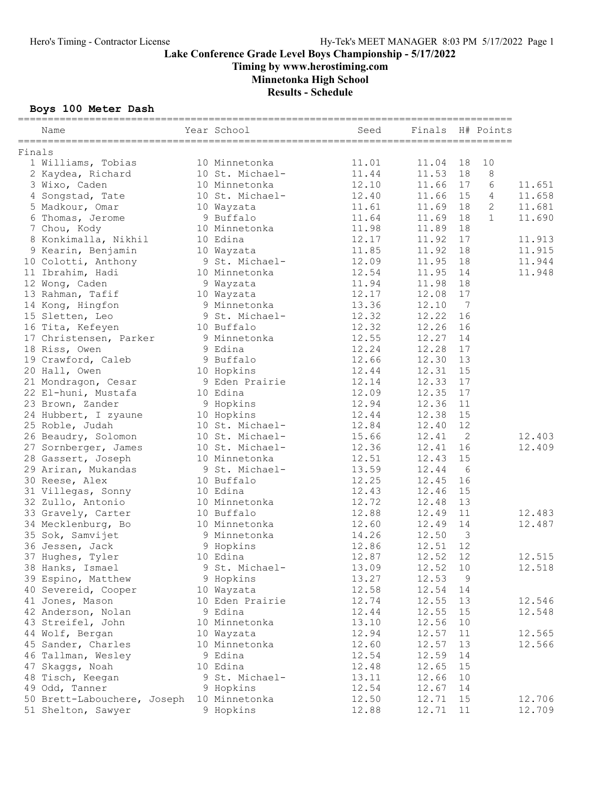Timing by www.herostiming.com

Minnetonka High School

Results - Schedule

### Boys 100 Meter Dash

|        | Name                        | Year School     | Seed  | Finals H# Points |                |              |        |
|--------|-----------------------------|-----------------|-------|------------------|----------------|--------------|--------|
| Finals |                             |                 |       |                  |                |              |        |
|        | 1 Williams, Tobias          | 10 Minnetonka   | 11.01 | 11.04 18         |                | 10           |        |
|        | 2 Kaydea, Richard           | 10 St. Michael- | 11.44 | 11.53            | 18             | 8            |        |
|        | 3 Wixo, Caden               | 10 Minnetonka   | 12.10 | 11.66 17         |                | 6            | 11.651 |
|        | 4 Songstad, Tate            | 10 St. Michael- | 12.40 | 11.66 15         |                | 4            | 11.658 |
|        | 5 Madkour, Omar             | 10 Wayzata      | 11.61 | 11.69            | 18             | $\mathbf{2}$ | 11.681 |
|        | 6 Thomas, Jerome            | 9 Buffalo       | 11.64 | 11.69            | 18             | $\mathbf{1}$ | 11.690 |
|        | 7 Chou, Kody                | 10 Minnetonka   | 11.98 | 11.89            | 18             |              |        |
|        | 8 Konkimalla, Nikhil        | 10 Edina        | 12.17 | 11.92            | 17             |              | 11.913 |
|        | 9 Kearin, Benjamin          | 10 Wayzata      | 11.85 | 11.92            | 18             |              | 11.915 |
|        | 10 Colotti, Anthony         | 9 St. Michael-  | 12.09 | 11.95            | 18             |              | 11.944 |
|        | 11 Ibrahim, Hadi            | 10 Minnetonka   | 12.54 | 11.95            | 14             |              | 11.948 |
|        | 12 Wong, Caden              | 9 Wayzata       | 11.94 | 11.98            | 18             |              |        |
|        | 13 Rahman, Tafif            | 10 Wayzata      | 12.17 | 12.08            | 17             |              |        |
|        | 14 Kong, Hingfon            | 9 Minnetonka    | 13.36 | 12.10            | $\overline{7}$ |              |        |
|        | 15 Sletten, Leo             | 9 St. Michael-  | 12.32 | 12.22            | 16             |              |        |
|        | 16 Tita, Kefeyen            | 10 Buffalo      | 12.32 | 12.26 16         |                |              |        |
|        | 17 Christensen, Parker      | 9 Minnetonka    | 12.55 | 12.27            | 14             |              |        |
|        | 18 Riss, Owen               | 9 Edina         | 12.24 | 12.28            | 17             |              |        |
|        | 19 Crawford, Caleb          | 9 Buffalo       | 12.66 | 12.30 13         |                |              |        |
|        | 20 Hall, Owen               | 10 Hopkins      | 12.44 | 12.31            | 15             |              |        |
|        | 21 Mondragon, Cesar         | 9 Eden Prairie  | 12.14 | 12.33            | 17             |              |        |
|        | 22 El-huni, Mustafa         | 10 Edina        | 12.09 | 12.35            | 17             |              |        |
|        | 23 Brown, Zander            | 9 Hopkins       | 12.94 | 12.36            | 11             |              |        |
|        | 24 Hubbert, I zyaune        | 10 Hopkins      | 12.44 | 12.38            | 15             |              |        |
|        | 25 Roble, Judah             | 10 St. Michael- | 12.84 | 12.40            | 12             |              |        |
|        | 26 Beaudry, Solomon         | 10 St. Michael- | 15.66 | 12.41            | $\mathbf{2}$   |              | 12.403 |
|        | 27 Sornberger, James        | 10 St. Michael- | 12.36 | 12.41            | 16             |              | 12.409 |
|        | 28 Gassert, Joseph          | 10 Minnetonka   | 12.51 | 12.43            | 15             |              |        |
|        | 29 Ariran, Mukandas         | 9 St. Michael-  | 13.59 | 12.44            | 6              |              |        |
|        | 30 Reese, Alex              | 10 Buffalo      | 12.25 | 12.45            | 16             |              |        |
|        | 31 Villegas, Sonny          | 10 Edina        | 12.43 | 12.46            | 15             |              |        |
|        | 32 Zullo, Antonio           | 10 Minnetonka   | 12.72 | 12.48            | 13             |              |        |
|        | 33 Gravely, Carter          | 10 Buffalo      | 12.88 | 12.49            | 11             |              | 12.483 |
|        | 34 Mecklenburg, Bo          | 10 Minnetonka   | 12.60 | 12.49            | 14             |              | 12.487 |
|        | 35 Sok, Samvijet            | 9 Minnetonka    | 14.26 | 12.50            | 3              |              |        |
|        | 36 Jessen, Jack             | 9 Hopkins       | 12.86 | 12.51            | 12             |              |        |
|        | 37 Hughes, Tyler            | 10 Edina        | 12.87 | 12.52            | 12             |              | 12.515 |
|        | 38 Hanks, Ismael            | 9 St. Michael-  | 13.09 | 12.52            | 10             |              | 12.518 |
|        | 39 Espino, Matthew          | 9 Hopkins       | 13.27 | 12.53            | 9              |              |        |
|        | 40 Severeid, Cooper         | 10 Wayzata      | 12.58 | 12.54            | 14             |              |        |
|        | 41 Jones, Mason             | 10 Eden Prairie | 12.74 | 12.55            | 13             |              | 12.546 |
|        | 42 Anderson, Nolan          | 9 Edina         | 12.44 | 12.55            | 15             |              | 12.548 |
|        | 43 Streifel, John           | 10 Minnetonka   | 13.10 | 12.56            | 10             |              |        |
|        | 44 Wolf, Bergan             | 10 Wayzata      | 12.94 | 12.57            | 11             |              | 12.565 |
|        | 45 Sander, Charles          | 10 Minnetonka   | 12.60 | 12.57            | 13             |              | 12.566 |
|        | 46 Tallman, Wesley          | 9 Edina         | 12.54 | 12.59            | 14             |              |        |
| 47     | Skaggs, Noah                | 10 Edina        | 12.48 | 12.65            | 15             |              |        |
|        | 48 Tisch, Keegan            | 9 St. Michael-  | 13.11 | 12.66            | 10             |              |        |
|        | 49 Odd, Tanner              | 9 Hopkins       | 12.54 | 12.67            | 14             |              |        |
|        | 50 Brett-Labouchere, Joseph | 10 Minnetonka   | 12.50 | 12.71            | 15             |              | 12.706 |
|        | 51 Shelton, Sawyer          | 9 Hopkins       | 12.88 | 12.71            | 11             |              | 12.709 |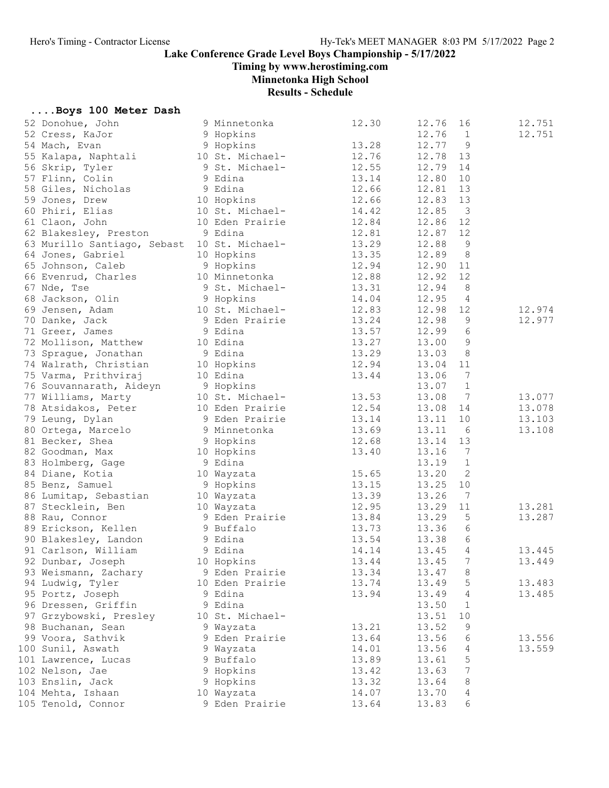Timing by www.herostiming.com

Minnetonka High School

Results - Schedule

|  |  |  |  |  | Boys 100 Meter Dash |  |
|--|--|--|--|--|---------------------|--|
|--|--|--|--|--|---------------------|--|

| 52 Donohue, John                            | 9 Minnetonka                | 12.30 | 12.76 | 16                      | 12.751 |
|---------------------------------------------|-----------------------------|-------|-------|-------------------------|--------|
| 52 Cress, KaJor                             | 9 Hopkins                   |       | 12.76 | $\overline{1}$          | 12.751 |
| 54 Mach, Evan                               | 9 Hopkins                   | 13.28 | 12.77 | 9                       |        |
| 55 Kalapa, Naphtali                         | 10 St. Michael-             | 12.76 | 12.78 | 13                      |        |
| 56 Skrip, Tyler                             | 9 St. Michael-              | 12.55 | 12.79 | 14                      |        |
| 57 Flinn, Colin                             | 9 Edina                     | 13.14 | 12.80 | 10                      |        |
| 58 Giles, Nicholas                          | 9 Edina                     | 12.66 | 12.81 | 13                      |        |
| 59 Jones, Drew                              | 10 Hopkins                  | 12.66 | 12.83 | 13                      |        |
| 60 Phiri, Elias                             | 10 St. Michael-             | 14.42 | 12.85 | $\overline{\mathbf{3}}$ |        |
| 61 Claon, John                              | 10 Eden Prairie             | 12.84 | 12.86 | 12                      |        |
| 62 Blakesley, Preston                       | 9 Edina                     | 12.81 | 12.87 | 12                      |        |
| 63 Murillo Santiago, Sebast 10 St. Michael- |                             | 13.29 | 12.88 | 9                       |        |
| 64 Jones, Gabriel                           | 10 Hopkins                  | 13.35 | 12.89 | 8                       |        |
|                                             | 9 Hopkins                   | 12.94 |       | 11                      |        |
| 65 Johnson, Caleb                           |                             |       | 12.90 |                         |        |
| 66 Evenrud, Charles                         | 10 Minnetonka               | 12.88 | 12.92 | 12                      |        |
| 67 Nde, Tse                                 | 9 St. Michael-              | 13.31 | 12.94 | 8                       |        |
| 68 Jackson, Olin                            | 9 Hopkins                   | 14.04 | 12.95 | 4                       |        |
| 69 Jensen, Adam                             | 10 St. Michael-             | 12.83 | 12.98 | 12                      | 12.974 |
| 70 Danke, Jack                              | 9 Eden Prairie<br>9 Edina   | 13.24 | 12.98 | $\overline{9}$          | 12.977 |
| 71 Greer, James                             |                             | 13.57 | 12.99 | 6                       |        |
| 72 Mollison, Matthew                        | 10 Edina                    | 13.27 | 13.00 | $\mathcal{G}$           |        |
| 73 Sprague, Jonathan                        | 9 Edina                     | 13.29 | 13.03 | 8                       |        |
| 74 Walrath, Christian                       | 10 Hopkins                  | 12.94 | 13.04 | 11                      |        |
| 75 Varma, Prithviraj                        | 10 Edina                    | 13.44 | 13.06 | $7\phantom{.0}$         |        |
| 76 Souvannarath, Aideyn                     | 9 Hopkins                   |       | 13.07 | $\mathbf{1}$            |        |
| 77 Williams, Marty                          | 10 St. Michael-             | 13.53 | 13.08 | $\overline{7}$          | 13.077 |
| 78 Atsidakos, Peter                         | 10 Eden Prairie             | 12.54 | 13.08 | 14                      | 13.078 |
| 79 Leung, Dylan                             | 9 Eden Prairie              | 13.14 | 13.11 | 10                      | 13.103 |
| 80 Ortega, Marcelo                          | 9 Minnetonka                | 13.69 | 13.11 | 6                       | 13.108 |
| 81 Becker, Shea                             | 9 Hopkins                   | 12.68 | 13.14 | 13                      |        |
| 82 Goodman, Max                             | 10 Hopkins                  | 13.40 | 13.16 | $\overline{7}$          |        |
| 83 Holmberg, Gage                           | 9 Edina                     |       | 13.19 | $\mathbf{1}$            |        |
| 84 Diane, Kotia                             | 10 Wayzata                  | 15.65 | 13.20 | 2                       |        |
| 85 Benz, Samuel                             | 9 Hopkins                   | 13.15 | 13.25 | 10                      |        |
| 86 Lumitap, Sebastian                       | 10 Wayzata                  | 13.39 | 13.26 | 7                       |        |
| 87 Stecklein, Ben                           | 10 Wayzata                  | 12.95 | 13.29 | 11                      | 13.281 |
| 88 Rau, Connor                              |                             | 13.84 | 13.29 | 5                       | 13.287 |
| 89 Erickson, Kellen                         | 9 Eden Prairie<br>9 Buffalo | 13.73 | 13.36 | 6                       |        |
| 90 Blakesley, Landon                        | 9 Edina                     | 13.54 | 13.38 | 6                       |        |
| 9 Edina<br>91 Carlson, William              |                             | 14.14 | 13.45 | $\overline{4}$          | 13.445 |
| 92 Dunbar, Joseph 10 Hopkins                |                             | 13.44 | 13.45 | 7                       | 13.449 |
| 93 Weismann, Zachary                        | 9 Eden Prairie              | 13.34 | 13.47 | 8                       |        |
| 94 Ludwig, Tyler                            | 10 Eden Prairie             | 13.74 | 13.49 | 5                       | 13.483 |
| 95 Portz, Joseph                            | 9 Edina                     | 13.94 | 13.49 | 4                       | 13.485 |
| 96 Dressen, Griffin                         | 9 Edina                     |       | 13.50 | $\mathbf{1}$            |        |
| 97 Grzybowski, Presley                      | 10 St. Michael-             |       | 13.51 | 10                      |        |
| 98 Buchanan, Sean                           | 9 Wayzata                   | 13.21 | 13.52 | 9                       |        |
| 99 Voora, Sathvik                           | 9 Eden Prairie              | 13.64 | 13.56 | 6                       | 13.556 |
| 100 Sunil, Aswath                           | 9 Wayzata                   | 14.01 | 13.56 | 4                       | 13.559 |
|                                             |                             |       |       |                         |        |
| 101 Lawrence, Lucas<br>102 Nelson, Jae      | 9 Buffalo                   | 13.89 | 13.61 | $\mathsf S$             |        |
|                                             | 9 Hopkins                   | 13.42 | 13.63 | 7                       |        |
| 103 Enslin, Jack                            | 9 Hopkins                   | 13.32 | 13.64 | 8                       |        |
| 104 Mehta, Ishaan                           | 10 Wayzata                  | 14.07 | 13.70 | 4                       |        |
| 105 Tenold, Connor                          | 9 Eden Prairie              | 13.64 | 13.83 | 6                       |        |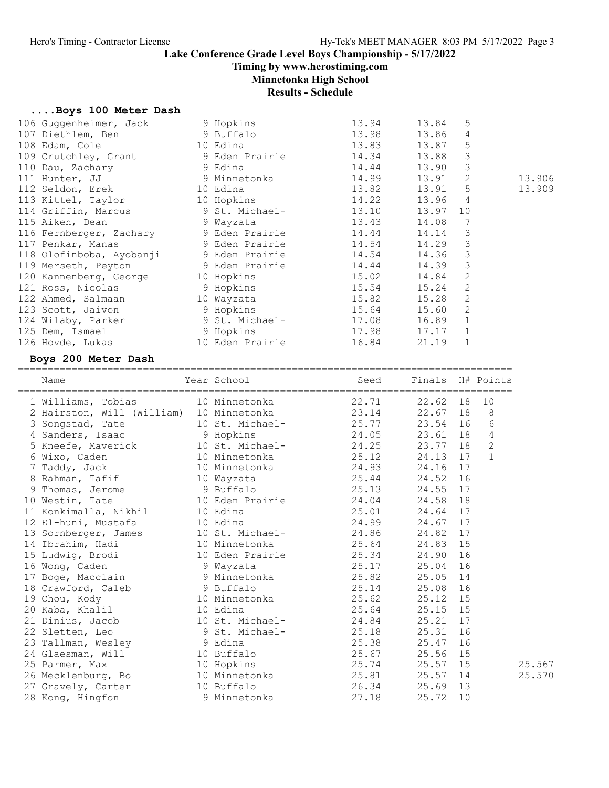Timing by www.herostiming.com

Minnetonka High School

Results - Schedule

# ....Boys 100 Meter Dash<br>106 Guggenheimer, Jack

| 106 Guggenheimer, Jack<br>107 Diethlem, Ben<br>108 Edam, Cole<br>108 Edam, Cole<br>109 Crutchley, Grant<br>10 Dau, Zachary<br>111 Hunter, JJ<br>111 Hunter, JJ<br>12 Particular States<br>112 Seldon, Erek 10 Edina<br>113 Kittel, Taylor 10 Hopkins<br>114 Griffin, Marcus 9 St. Michael-<br>115 Aiken, Dean 9 Wayzata<br>116 Fernberger, Zachary 9 Eden Prairie 14.44<br>117 Penkar, Manas<br>118 Olofinboba, Ayobanji 9 Eden Prairie 14.54<br>119 Merseth, Peyton 9 Eden Prairie 14.44<br>12 Merseth, Peyton 12 Merseth 15.98<br>120 Kannenberg, George 10 Hopkins 15.02<br>121 Ross, Nicolas 9 Hopkins 15.54<br>122 Ahmed, Salmaan 10 Wayzata 15.82<br>123 Scott, Jaivon 9 Hopkins<br>124 Wilaby, Parker 9 St. Michael- 17.08<br>125 Dem, Ismael 9 Hopkins 17.98<br>126 Hovde, Lukas 10 Eden Prairie 16.84<br>Boys 200 Meter Dash | 9 Hopkins<br>9 Eden Prairie | 13.94<br>13.98<br>$13.50$<br>13.83<br>14.34<br>14.44<br>14.99<br>13.82<br>$14.22$<br>13.10<br>13.10<br>13.43<br>14.54<br>$15.02$<br>$15.54$<br>15.64 | 13.84<br>13.86<br>13.87<br>13.88<br>13.90<br>13.91<br>13.91<br>13.96<br>13.97 10<br>14.08<br>14.14<br>14.29<br>14.36<br>14.39<br>14.84 2<br>$15.24$ 2<br>15.28 2<br>15.60 2<br>16.89 1<br>$17.17$ 1<br>21.19 | 5<br>$\overline{4}$<br>$5\phantom{.0}$<br>$\mathbf{3}$<br>$\mathbf{3}$<br>2<br>5<br>$\overline{4}$<br>$7\phantom{.0}$<br>$\mathcal{E}$<br>$\mathbf{3}$<br>$\mathbf{3}$<br>$\overline{3}$<br>$\overline{1}$ |                | 13.906<br>13.909 |
|---------------------------------------------------------------------------------------------------------------------------------------------------------------------------------------------------------------------------------------------------------------------------------------------------------------------------------------------------------------------------------------------------------------------------------------------------------------------------------------------------------------------------------------------------------------------------------------------------------------------------------------------------------------------------------------------------------------------------------------------------------------------------------------------------------------------------------------|-----------------------------|------------------------------------------------------------------------------------------------------------------------------------------------------|--------------------------------------------------------------------------------------------------------------------------------------------------------------------------------------------------------------|------------------------------------------------------------------------------------------------------------------------------------------------------------------------------------------------------------|----------------|------------------|
| Name                                                                                                                                                                                                                                                                                                                                                                                                                                                                                                                                                                                                                                                                                                                                                                                                                                  | Year School                 | Seed                                                                                                                                                 | Finals H# Points                                                                                                                                                                                             |                                                                                                                                                                                                            |                |                  |
| 1 Williams, Tobias 10 Minnetonka (22.71)<br>2 Hairston, Will (William) 10 Minnetonka (23.14)                                                                                                                                                                                                                                                                                                                                                                                                                                                                                                                                                                                                                                                                                                                                          |                             |                                                                                                                                                      | 22.62 18                                                                                                                                                                                                     |                                                                                                                                                                                                            | 10             |                  |
|                                                                                                                                                                                                                                                                                                                                                                                                                                                                                                                                                                                                                                                                                                                                                                                                                                       |                             |                                                                                                                                                      | 22.67 18                                                                                                                                                                                                     |                                                                                                                                                                                                            | 8              |                  |
|                                                                                                                                                                                                                                                                                                                                                                                                                                                                                                                                                                                                                                                                                                                                                                                                                                       |                             |                                                                                                                                                      | 23.54 16                                                                                                                                                                                                     |                                                                                                                                                                                                            | 6              |                  |
| 3 Songstad, Tate 10 St. Michael-<br>4 Sanders, Isaac 9 Hopkins 24.05                                                                                                                                                                                                                                                                                                                                                                                                                                                                                                                                                                                                                                                                                                                                                                  |                             |                                                                                                                                                      | 23.61 18                                                                                                                                                                                                     |                                                                                                                                                                                                            | 4              |                  |
| 5 Kneefe, Maverick 10 St. Michael- 24.25                                                                                                                                                                                                                                                                                                                                                                                                                                                                                                                                                                                                                                                                                                                                                                                              |                             |                                                                                                                                                      | 23.77 18                                                                                                                                                                                                     |                                                                                                                                                                                                            | $\overline{c}$ |                  |
| 6 Wixo, Caden<br>7 Taddy, Jack<br>8 Rahman, Tafif<br>9 Thomas, Jerome<br>9 Buffalo<br>9 Buffalo<br>9 Buffalo<br>9 Buffalo<br>9 Buffalo<br>9 25.13                                                                                                                                                                                                                                                                                                                                                                                                                                                                                                                                                                                                                                                                                     |                             |                                                                                                                                                      | 24.13 17                                                                                                                                                                                                     |                                                                                                                                                                                                            | $\mathbf{1}$   |                  |
|                                                                                                                                                                                                                                                                                                                                                                                                                                                                                                                                                                                                                                                                                                                                                                                                                                       |                             |                                                                                                                                                      | 24.16 17                                                                                                                                                                                                     |                                                                                                                                                                                                            |                |                  |
|                                                                                                                                                                                                                                                                                                                                                                                                                                                                                                                                                                                                                                                                                                                                                                                                                                       |                             |                                                                                                                                                      | 24.52 16                                                                                                                                                                                                     |                                                                                                                                                                                                            |                |                  |
|                                                                                                                                                                                                                                                                                                                                                                                                                                                                                                                                                                                                                                                                                                                                                                                                                                       |                             |                                                                                                                                                      | 24.55 17                                                                                                                                                                                                     |                                                                                                                                                                                                            |                |                  |
| 10 Westin, Tate                                                                                                                                                                                                                                                                                                                                                                                                                                                                                                                                                                                                                                                                                                                                                                                                                       |                             | 10 Eden Prairie 24.04                                                                                                                                | 24.58                                                                                                                                                                                                        | 18                                                                                                                                                                                                         |                |                  |
| 11 Konkimalla, Nikhil 10 Edina                                                                                                                                                                                                                                                                                                                                                                                                                                                                                                                                                                                                                                                                                                                                                                                                        |                             | 25.01                                                                                                                                                | 24.64                                                                                                                                                                                                        | 17                                                                                                                                                                                                         |                |                  |
|                                                                                                                                                                                                                                                                                                                                                                                                                                                                                                                                                                                                                                                                                                                                                                                                                                       |                             |                                                                                                                                                      | 24.67 17                                                                                                                                                                                                     |                                                                                                                                                                                                            |                |                  |
|                                                                                                                                                                                                                                                                                                                                                                                                                                                                                                                                                                                                                                                                                                                                                                                                                                       |                             |                                                                                                                                                      | 24.82 17                                                                                                                                                                                                     |                                                                                                                                                                                                            |                |                  |
| 12 El-huni, Mustafa $10$ Edina $24.99$<br>13 Sornberger, James $10$ St. Michael- $24.86$<br>14 Ibrahim, Hadi $10$ Minnetonka $25.64$                                                                                                                                                                                                                                                                                                                                                                                                                                                                                                                                                                                                                                                                                                  |                             |                                                                                                                                                      | 24.83 15                                                                                                                                                                                                     |                                                                                                                                                                                                            |                |                  |
| 15 Ludwig, Brodi                                                                                                                                                                                                                                                                                                                                                                                                                                                                                                                                                                                                                                                                                                                                                                                                                      | 10 Eden Prairie             | 25.34                                                                                                                                                | 24.90                                                                                                                                                                                                        | 16                                                                                                                                                                                                         |                |                  |
| 16 Wong, Caden                                                                                                                                                                                                                                                                                                                                                                                                                                                                                                                                                                                                                                                                                                                                                                                                                        | 9 Wayzata                   | 25.17                                                                                                                                                | 25.04                                                                                                                                                                                                        | 16                                                                                                                                                                                                         |                |                  |
| 17 Boge, Macclain                                                                                                                                                                                                                                                                                                                                                                                                                                                                                                                                                                                                                                                                                                                                                                                                                     | 9 Minnetonka                | 25.82                                                                                                                                                | 25.05                                                                                                                                                                                                        | 14                                                                                                                                                                                                         |                |                  |
| 18 Crawford, Caleb                                                                                                                                                                                                                                                                                                                                                                                                                                                                                                                                                                                                                                                                                                                                                                                                                    | 9 Buffalo                   | 25.14                                                                                                                                                | 25.08                                                                                                                                                                                                        | 16                                                                                                                                                                                                         |                |                  |
| 19 Chou, Kody                                                                                                                                                                                                                                                                                                                                                                                                                                                                                                                                                                                                                                                                                                                                                                                                                         | 10 Minnetonka               | 25.62                                                                                                                                                | 25.12                                                                                                                                                                                                        | 15                                                                                                                                                                                                         |                |                  |
| 20 Kaba, Khalil                                                                                                                                                                                                                                                                                                                                                                                                                                                                                                                                                                                                                                                                                                                                                                                                                       | 10 Edina                    | 25.64                                                                                                                                                | 25.15                                                                                                                                                                                                        | 15                                                                                                                                                                                                         |                |                  |
| 21 Dinius, Jacob                                                                                                                                                                                                                                                                                                                                                                                                                                                                                                                                                                                                                                                                                                                                                                                                                      | 10 St. Michael-             | 24.84                                                                                                                                                | 25.21                                                                                                                                                                                                        | 17                                                                                                                                                                                                         |                |                  |
| 22 Sletten, Leo                                                                                                                                                                                                                                                                                                                                                                                                                                                                                                                                                                                                                                                                                                                                                                                                                       | 9 St. Michael-              | 25.18                                                                                                                                                | 25.31                                                                                                                                                                                                        | 16                                                                                                                                                                                                         |                |                  |
| 23 Tallman, Wesley                                                                                                                                                                                                                                                                                                                                                                                                                                                                                                                                                                                                                                                                                                                                                                                                                    | 9 Edina                     | 25.38                                                                                                                                                | 25.47                                                                                                                                                                                                        | 16                                                                                                                                                                                                         |                |                  |
| 24 Glaesman, Will                                                                                                                                                                                                                                                                                                                                                                                                                                                                                                                                                                                                                                                                                                                                                                                                                     | 10 Buffalo                  | 25.67                                                                                                                                                | 25.56                                                                                                                                                                                                        | 15                                                                                                                                                                                                         |                |                  |
| 25 Parmer, Max                                                                                                                                                                                                                                                                                                                                                                                                                                                                                                                                                                                                                                                                                                                                                                                                                        | 10 Hopkins                  | 25.74                                                                                                                                                | 25.57                                                                                                                                                                                                        | 15                                                                                                                                                                                                         |                | 25.567           |
| 26 Mecklenburg, Bo                                                                                                                                                                                                                                                                                                                                                                                                                                                                                                                                                                                                                                                                                                                                                                                                                    | 10 Minnetonka               | 25.81                                                                                                                                                | 25.57                                                                                                                                                                                                        | 14                                                                                                                                                                                                         |                | 25.570           |
| 27 Gravely, Carter                                                                                                                                                                                                                                                                                                                                                                                                                                                                                                                                                                                                                                                                                                                                                                                                                    | 10 Buffalo                  | 26.34                                                                                                                                                | 25.69                                                                                                                                                                                                        | 13                                                                                                                                                                                                         |                |                  |
| 28 Kong, Hingfon                                                                                                                                                                                                                                                                                                                                                                                                                                                                                                                                                                                                                                                                                                                                                                                                                      | 9 Minnetonka                | 27.18                                                                                                                                                | 25.72                                                                                                                                                                                                        | 10                                                                                                                                                                                                         |                |                  |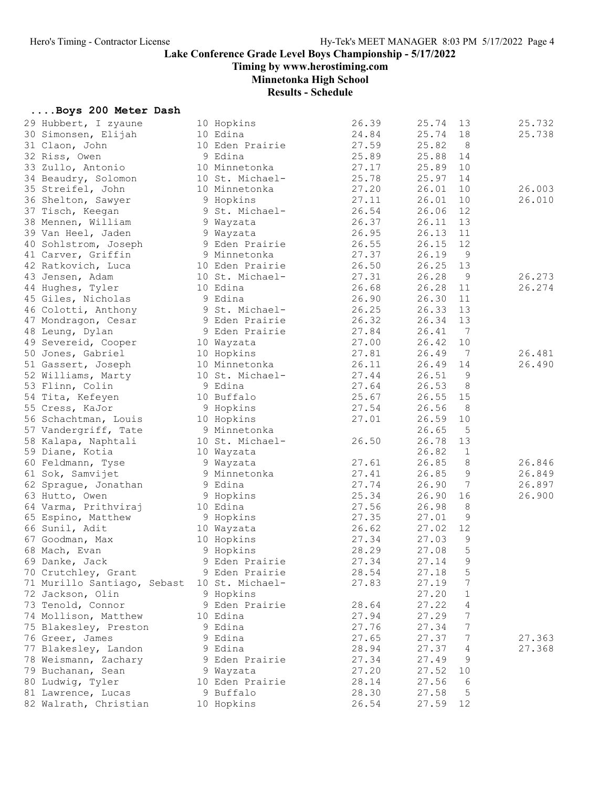Timing by www.herostiming.com

Minnetonka High School

# Results - Schedule

### ....Boys 200 Meter Dash

| 29 Hubbert, I zyaune        | 10 Hopkins      | 26.39 | 25.74 | 13              | 25.732 |
|-----------------------------|-----------------|-------|-------|-----------------|--------|
| 30 Simonsen, Elijah         | 10 Edina        | 24.84 | 25.74 | 18              | 25.738 |
| 31 Claon, John              | 10 Eden Prairie | 27.59 | 25.82 | 8               |        |
| 32 Riss, Owen               | 9 Edina         | 25.89 | 25.88 | 14              |        |
| 33 Zullo, Antonio           | 10 Minnetonka   | 27.17 | 25.89 | 10              |        |
| 34 Beaudry, Solomon         | 10 St. Michael- | 25.78 | 25.97 | 14              |        |
| 35 Streifel, John           | 10 Minnetonka   | 27.20 | 26.01 | 10              | 26.003 |
| 36 Shelton, Sawyer          | 9 Hopkins       | 27.11 | 26.01 | 10              | 26.010 |
| 37 Tisch, Keegan            | 9 St. Michael-  | 26.54 | 26.06 | 12              |        |
| 38 Mennen, William          | 9 Wayzata       | 26.37 | 26.11 | 13              |        |
| 39 Van Heel, Jaden          | 9 Wayzata       | 26.95 | 26.13 | 11              |        |
| 40 Sohlstrom, Joseph        | 9 Eden Prairie  | 26.55 | 26.15 | 12              |        |
| 41 Carver, Griffin          | 9 Minnetonka    | 27.37 | 26.19 | $\overline{9}$  |        |
|                             |                 | 26.50 | 26.25 | 13              |        |
| 42 Ratkovich, Luca          | 10 Eden Prairie |       |       |                 |        |
| 43 Jensen, Adam             | 10 St. Michael- | 27.31 | 26.28 | 9               | 26.273 |
| 44 Hughes, Tyler            | 10 Edina        | 26.68 | 26.28 | 11              | 26.274 |
| 45 Giles, Nicholas          | 9 Edina         | 26.90 | 26.30 | 11              |        |
| 46 Colotti, Anthony         | 9 St. Michael-  | 26.25 | 26.33 | 13              |        |
| 47 Mondragon, Cesar         | 9 Eden Prairie  | 26.32 | 26.34 | 13              |        |
| 48 Leung, Dylan             | 9 Eden Prairie  | 27.84 | 26.41 | $7\phantom{.0}$ |        |
| 49 Severeid, Cooper         | 10 Wayzata      | 27.00 | 26.42 | 10              |        |
| 50 Jones, Gabriel           | 10 Hopkins      | 27.81 | 26.49 | 7               | 26.481 |
| 51 Gassert, Joseph          | 10 Minnetonka   | 26.11 | 26.49 | 14              | 26.490 |
| 52 Williams, Marty          | 10 St. Michael- | 27.44 | 26.51 | 9               |        |
| 53 Flinn, Colin             | 9 Edina         | 27.64 | 26.53 | 8               |        |
| 54 Tita, Kefeyen            | 10 Buffalo      | 25.67 | 26.55 | 15              |        |
| 55 Cress, KaJor             | 9 Hopkins       | 27.54 | 26.56 | 8               |        |
| 56 Schachtman, Louis        | 10 Hopkins      | 27.01 | 26.59 | 10              |        |
| 57 Vandergriff, Tate        | 9 Minnetonka    |       | 26.65 | 5               |        |
| 58 Kalapa, Naphtali         | 10 St. Michael- | 26.50 | 26.78 | 13              |        |
| 59 Diane, Kotia             | 10 Wayzata      |       | 26.82 | $\mathbf 1$     |        |
| 60 Feldmann, Tyse           | 9 Wayzata       | 27.61 | 26.85 | 8               | 26.846 |
| 61 Sok, Samvijet            | 9 Minnetonka    | 27.41 | 26.85 | 9               | 26.849 |
| 62 Sprague, Jonathan        | 9 Edina         | 27.74 | 26.90 | 7               | 26.897 |
| 63 Hutto, Owen              | 9 Hopkins       | 25.34 | 26.90 | 16              | 26.900 |
| 64 Varma, Prithviraj        | 10 Edina        | 27.56 | 26.98 | 8               |        |
| 65 Espino, Matthew          | 9 Hopkins       | 27.35 | 27.01 | 9               |        |
| 66 Sunil, Adit              | 10 Wayzata      | 26.62 | 27.02 | 12              |        |
| 67 Goodman, Max             | 10 Hopkins      | 27.34 | 27.03 | 9               |        |
| 68 Mach, Evan               | 9 Hopkins       | 28.29 | 27.08 | 5               |        |
| 69 Danke, Jack              | 9 Eden Prairie  | 27.34 | 27.14 | 9               |        |
| 70 Crutchley, Grant         | 9 Eden Prairie  | 28.54 | 27.18 | 5               |        |
| 71 Murillo Santiago, Sebast | 10 St. Michael- | 27.83 | 27.19 | 7               |        |
| 72 Jackson, Olin            | 9 Hopkins       |       | 27.20 | $\mathbf 1$     |        |
| 73 Tenold, Connor           | 9 Eden Prairie  | 28.64 | 27.22 | 4               |        |
| 74 Mollison, Matthew        | 10 Edina        | 27.94 | 27.29 | $\overline{7}$  |        |
|                             |                 |       |       |                 |        |
| 75 Blakesley, Preston       | 9 Edina         | 27.76 | 27.34 | 7               |        |
| 76 Greer, James             | 9 Edina         | 27.65 | 27.37 | $\overline{7}$  | 27.363 |
| 77 Blakesley, Landon        | 9 Edina         | 28.94 | 27.37 | 4               | 27.368 |
| 78 Weismann, Zachary        | 9 Eden Prairie  | 27.34 | 27.49 | 9               |        |
| 79 Buchanan, Sean           | 9 Wayzata       | 27.20 | 27.52 | 10              |        |
| 80 Ludwig, Tyler            | 10 Eden Prairie | 28.14 | 27.56 | 6               |        |
| 81 Lawrence, Lucas          | 9 Buffalo       | 28.30 | 27.58 | 5               |        |
| 82 Walrath, Christian       | 10 Hopkins      | 26.54 | 27.59 | 12              |        |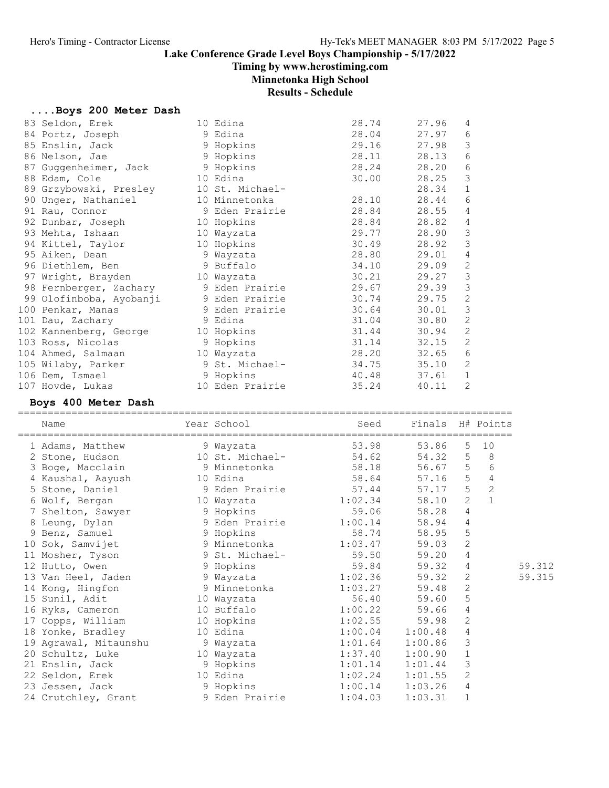Timing by www.herostiming.com

# Minnetonka High School

Results - Schedule

# ....Boys 200 Meter Dash

| 83 Seldon, Erek                   | 10 Edina        | 28.74 | 27.96 | 4              |
|-----------------------------------|-----------------|-------|-------|----------------|
| 84 Portz, Joseph                  | 9 Edina         | 28.04 | 27.97 | 6              |
| 85 Enslin, Jack                   | 9 Hopkins       | 29.16 | 27.98 | 3              |
| 86 Nelson, Jae                    | 9 Hopkins       | 28.11 | 28.13 | 6              |
| 87 Guggenheimer, Jack             | 9 Hopkins       | 28.24 | 28.20 | 6              |
| 88 Edam, Cole                     | 10 Edina        | 30.00 | 28.25 | 3              |
| 89 Grzybowski, Presley            | 10 St. Michael- |       | 28.34 | $\mathbf 1$    |
| 90 Unger, Nathaniel               | 10 Minnetonka   | 28.10 | 28.44 | 6              |
| 91 Rau, Connor                    | 9 Eden Prairie  | 28.84 | 28.55 | 4              |
| 92 Dunbar, Joseph                 | 10 Hopkins      | 28.84 | 28.82 | $\overline{4}$ |
| 93 Mehta, Ishaan                  | 10 Wayzata      | 29.77 | 28.90 | $\mathcal{S}$  |
| 94 Kittel, Taylor                 | 10 Hopkins      | 30.49 | 28.92 | $\mathcal{S}$  |
| 95 Aiken, Dean                    | 9 Wayzata       | 28.80 | 29.01 | 4              |
| 96 Diethlem, Ben                  | 9 Buffalo       | 34.10 | 29.09 | $\mathbf{2}$   |
| 97 Wright, Brayden 10 Wayzata     |                 | 30.21 | 29.27 | $\mathsf 3$    |
| 98 Fernberger, Zachary            | 9 Eden Prairie  | 29.67 | 29.39 | $\mathfrak{Z}$ |
| 99 Olofinboba, Ayobanji           | 9 Eden Prairie  | 30.74 | 29.75 | $\sqrt{2}$     |
| 100 Penkar, Manas                 | 9 Eden Prairie  | 30.64 | 30.01 | $\mathfrak{Z}$ |
| 101 Dau, Zachary                  | 9 Edina         | 31.04 | 30.80 | 2              |
| 102 Kannenberg, George 10 Hopkins |                 | 31.44 | 30.94 | 2              |
| 103 Ross, Nicolas                 | 9 Hopkins       | 31.14 | 32.15 | $\mathbf{2}$   |
| 104 Ahmed, Salmaan                | 10 Wayzata      | 28.20 | 32.65 | 6              |
| 105 Wilaby, Parker                | 9 St. Michael-  | 34.75 | 35.10 | 2              |
| 106 Dem, Ismael                   | 9 Hopkins       | 40.48 | 37.61 | $\mathbf 1$    |
| 107 Hovde, Lukas                  | 10 Eden Prairie | 35.24 | 40.11 | $\overline{2}$ |

### Boys 400 Meter Dash

| Name                                                                           |          | Year School     |                      | Seed Finals H# Points |                |                |        |
|--------------------------------------------------------------------------------|----------|-----------------|----------------------|-----------------------|----------------|----------------|--------|
| 1 Adams, Matthew                                                               |          | 9 Wayzata       | 53.98                | 53.86                 | 5 <sup>1</sup> | 10             |        |
| 2 Stone, Hudson                                                                |          | 10 St. Michael- | 54.62                | 54.32                 | 5              | 8 <sup>8</sup> |        |
| 3 Boge, Macclain 58.18                                                         |          |                 |                      | 56.67 5               |                | 6              |        |
| 4 Kaushal, Aayush                                                              | 10 Edina |                 | 58.64                | 57.16 5               |                | $\sqrt{4}$     |        |
| 5 Stone, Daniel 9 Eden Prairie 57.44                                           |          |                 |                      | 57.17                 | 5 <sup>5</sup> | $\overline{c}$ |        |
| 6 Wolf, Bergan 10 Wayzata                                                      |          |                 | 1:02.34              | 58.10                 | $\overline{2}$ | $\mathbf{1}$   |        |
| 7 Shelton, Sawyer                                                              |          | 9 Hopkins       | 59.06                | 58.28                 | $\overline{4}$ |                |        |
| 8 Leung, Dylan 3 9 Eden Prairie 1:00.14                                        |          |                 |                      | 58.94                 | $\overline{4}$ |                |        |
| 9 Benz, Samuel                                                                 |          | 9 Hopkins       | 58.74                | 58.95                 | $\mathsf S$    |                |        |
| 10 Sok, Samvijet 9 Minnetonka 1:03.47<br>11 Mosher, Tyson 9 St. Michael- 59.50 |          |                 |                      | 59.03                 | $\sqrt{2}$     |                |        |
|                                                                                |          |                 |                      | 59.20                 | $\overline{4}$ |                |        |
| 12 Hutto, Owen                                                                 |          | 9 Hopkins       | 59.84                | 59.32                 | $\overline{4}$ |                | 59.312 |
| 13 Van Heel, Jaden                                                             |          |                 | 9 Wayzata 1:02.36    | 59.32                 | $\mathbf{2}$   |                | 59.315 |
| 14 Kong, Hingfon                                                               |          |                 | 9 Minnetonka 1:03.27 | 59.48                 | 2              |                |        |
| 15 Sunil, Adit 10 Wayzata                                                      |          |                 | 56.40                | 59.60                 | 5              |                |        |
| 16 Ryks, Cameron 10 Buffalo                                                    |          |                 | 1:00.22              | 59.66                 | $\overline{4}$ |                |        |
| 17 Copps, William 10 Hopkins                                                   |          |                 | 1:02.55              | 59.98                 | $\mathbf{2}$   |                |        |
| 18 Yonke, Bradley                                                              | 10 Edina |                 | $1:00.04$ $1:00.48$  |                       | 4              |                |        |
| 19 Agrawal, Mitaunshu                                                          |          | 9 Wayzata       | 1:01.64              | 1:00.86               | 3              |                |        |
| 20 Schultz, Luke                                                               |          | 10 Wayzata      | 1:37.40              | 1:00.90               | $\mathbf 1$    |                |        |
| 21 Enslin, Jack 9 Hopkins                                                      |          |                 | 1:01.14              | 1:01.44               | 3              |                |        |
| 22 Seldon, Erek 10 Edina                                                       |          |                 | $1:02.24$ $1:01.55$  |                       | 2              |                |        |
| 9 Hopkins<br>23 Jessen, Jack                                                   |          |                 | 1:00.14              | 1:03.26               | 4              |                |        |
| 24 Crutchley, Grant                                                            |          | 9 Eden Prairie  | 1:04.03              | 1:03.31               | $\mathbf 1$    |                |        |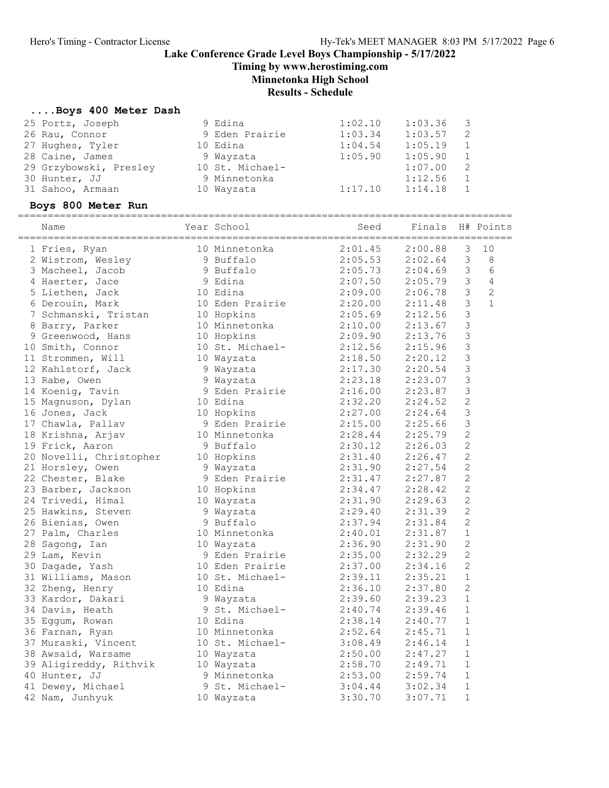Timing by www.herostiming.com

Minnetonka High School

# Results - Schedule

# ....Boys 400 Meter Dash

| 25 Portz, Joseph                       | 9 Edina         | 1:02.10                                                  | 1:03.36          | 3              |                |
|----------------------------------------|-----------------|----------------------------------------------------------|------------------|----------------|----------------|
| 26 Rau, Connor                         | 9 Eden Prairie  | 1:03.34                                                  | 1:03.57          | 2              |                |
| 27 Hughes, Tyler                       | 10 Edina        | 1:04.54                                                  | 1:05.19          | $\mathbf 1$    |                |
| 28 Caine, James                        | 9 Wayzata       | 1:05.90                                                  | 1:05.90          | 1              |                |
| 29 Grzybowski, Presley 10 St. Michael- |                 |                                                          | 1:07.00          | 2              |                |
| 30 Hunter, JJ                          | 9 Minnetonka    |                                                          | 1:12.56          | $\mathbf{1}$   |                |
| 31 Sahoo, Armaan                       | 10 Wayzata      | 1:17.10                                                  | 1:14.18          | 1              |                |
| Boys 800 Meter Run                     |                 |                                                          |                  |                |                |
|                                        |                 |                                                          |                  |                |                |
| Name                                   | Year School     | Seed                                                     | Finals H# Points |                |                |
| 1 Fries, Ryan                          | 10 Minnetonka   | $2:01.45$ $2:00.88$                                      |                  | 3              | 10             |
| 2 Wistrom, Wesley                      | 9 Buffalo       | $2:05.53$ $2:02.64$                                      |                  | 3              | 8              |
| 3 Macheel, Jacob                       | 9 Buffalo       | $2:05.73$ $2:04.69$                                      |                  | 3              | $6\,$          |
| 4 Haerter, Jace                        | 9 Edina         | 2:07.50 2:05.79                                          |                  | 3 <sup>7</sup> | $\sqrt{4}$     |
| 5 Liethen, Jack                        | 10 Edina        |                                                          |                  | $\mathfrak{Z}$ | $\overline{c}$ |
| 6 Derouin, Mark                        | 10 Eden Prairie | 2:09.00  2:06.78<br>2:20.00  2:11.48<br>2:05.69  2:12.56 |                  | $\mathfrak{Z}$ | $\mathbf{1}$   |
| 7 Schmanski, Tristan                   | 10 Hopkins      |                                                          |                  | 3              |                |
| 8 Barry, Parker                        | 10 Minnetonka   | 2:10.00                                                  | 2:13.67          | 3              |                |
| 9 Greenwood, Hans                      | 10 Hopkins      | 2:09.90                                                  | 2:13.76          | 3              |                |
| 10 Smith, Connor                       | 10 St. Michael- | 2:12.56                                                  | 2:15.96          | $\mathcal{S}$  |                |
| 11 Strommen, Will                      | 10 Wayzata      | 2:18.50                                                  | 2:20.12          | $\mathsf 3$    |                |
| 12 Kahlstorf, Jack                     | 9 Wayzata       | 2:17.30                                                  | 2:20.54          | 3              |                |
| 13 Rabe, Owen                          | 9 Wayzata       | 2:23.18                                                  | 2:23.07          | 3              |                |
| 14 Koenig, Tavin                       | 9 Eden Prairie  | 2:16.00                                                  | 2:23.87          | 3              |                |
| 15 Magnuson, Dylan                     | 10 Edina        | 2:32.20                                                  | 2:24.52          | $\mathbf{2}$   |                |
| 16 Jones, Jack                         | 10 Hopkins      | 2:27.00                                                  | 2:24.64          | 3              |                |
| 17 Chawla, Pallav                      | 9 Eden Prairie  | 2:15.00<br>2:28.44                                       | 2:25.66          | 3              |                |
| 18 Krishna, Arjav                      | 10 Minnetonka   |                                                          | 2:25.79          | $\sqrt{2}$     |                |
| 19 Frick, Aaron                        | 9 Buffalo       | 2:30.12                                                  | 2:26.03          | $\mathbf{2}$   |                |
| 20 Novelli, Christopher                | 10 Hopkins      | 2:31.40                                                  | 2:26.47          | $\sqrt{2}$     |                |
| 21 Horsley, Owen                       | 9 Wayzata       | 2:31.90                                                  | 2:27.54          | $\mathbf{2}$   |                |
| 22 Chester, Blake                      | 9 Eden Prairie  | 2:31.47                                                  | 2:27.87          | $\mathbf{2}$   |                |
| 23 Barber, Jackson                     | 10 Hopkins      | 2:34.47                                                  | 2:28.42          | $\mathbf{2}$   |                |
| 24 Trivedi, Himal                      | 10 Wayzata      | 2:31.90                                                  | 2:29.63          | $\mathbf{2}$   |                |
| 25 Hawkins, Steven                     | 9 Wayzata       | 2:29.40                                                  | 2:31.39          | $\mathbf{2}$   |                |
| 26 Bienias, Owen                       | 9 Buffalo       | $2:37.94$ $2:31.84$                                      |                  | 2              |                |
| 27 Palm, Charles                       | 10 Minnetonka   | 2:40.01                                                  | 2:31.87          | 1              |                |
| 28 Sagong, Ian                         | 10 Wayzata      | 2:36.90                                                  | 2:31.90          | $\mathbf{2}$   |                |
| 29 Lam, Kevin                          | 9 Eden Prairie  | 2:35.00                                                  | 2:32.29          | $\overline{2}$ |                |
| 30 Dagade, Yash                        | 10 Eden Prairie | 2:37.00                                                  | 2:34.16          | $\sqrt{2}$     |                |
| 31 Williams, Mason                     | 10 St. Michael- | 2:39.11                                                  | 2:35.21          | 1              |                |
| 32 Zheng, Henry                        | 10 Edina        | 2:36.10                                                  | 2:37.80          | 2              |                |
| 33 Kardor, Dakari                      | 9 Wayzata       | 2:39.60                                                  | 2:39.23          | 1              |                |
| 34 Davis, Heath                        | 9 St. Michael-  | 2:40.74                                                  | 2:39.46          | 1              |                |
| 35 Eggum, Rowan                        | 10 Edina        | 2:38.14                                                  | 2:40.77          | 1              |                |
| 36 Farnan, Ryan                        | 10 Minnetonka   | 2:52.64                                                  | 2:45.71          | 1              |                |
| 37 Muraski, Vincent                    | 10 St. Michael- | 3:08.49                                                  | 2:46.14          | 1              |                |
| 38 Awsaid, Warsame                     | 10 Wayzata      | 2:50.00                                                  | 2:47.27          | 1              |                |
| 39 Aligireddy, Rithvik                 | 10 Wayzata      | 2:58.70                                                  | 2:49.71          | 1              |                |
| 40 Hunter, JJ                          | 9 Minnetonka    | 2:53.00                                                  | 2:59.74          | 1              |                |
| 41 Dewey, Michael                      | 9 St. Michael-  | 3:04.44                                                  | 3:02.34          | $\mathbf{1}$   |                |
| 42 Nam, Junhyuk                        | 10 Wayzata      | 3:30.70                                                  | 3:07.71          | $\mathbf 1$    |                |
|                                        |                 |                                                          |                  |                |                |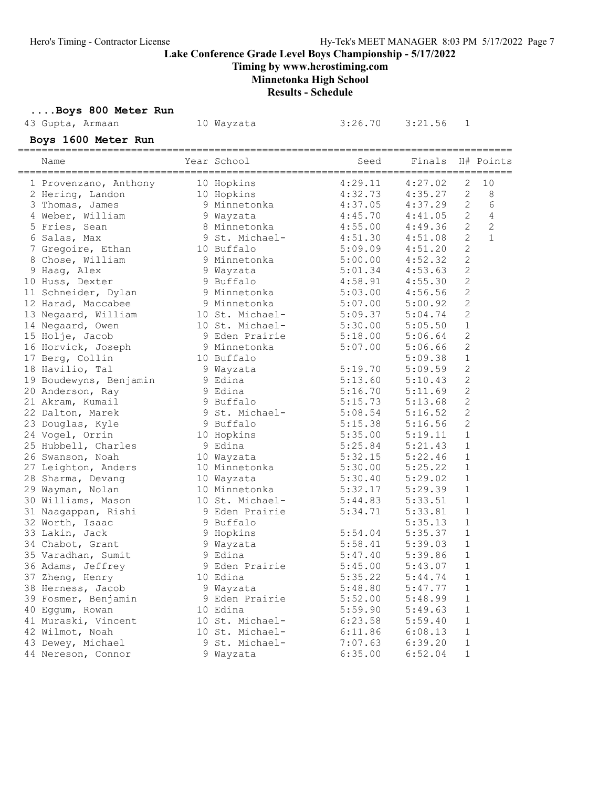Timing by www.herostiming.com

# Minnetonka High School

Results - Schedule

| Boys 800 Meter Run     |                 |         |         |                |              |
|------------------------|-----------------|---------|---------|----------------|--------------|
| 43 Gupta, Armaan       | 10 Wayzata      | 3:26.70 | 3:21.56 | 1              |              |
| Boys 1600 Meter Run    |                 |         |         |                |              |
| Name                   | Year School     | Seed    | Finals  |                | H# Points    |
| 1 Provenzano, Anthony  | 10 Hopkins      | 4:29.11 | 4:27.02 | 2              | 10           |
| 2 Hering, Landon       | 10 Hopkins      | 4:32.73 | 4:35.27 | $\mathbf{2}$   | 8            |
| 3 Thomas, James        | 9 Minnetonka    | 4:37.05 | 4:37.29 | $\mathbf{2}$   | 6            |
| 4 Weber, William       | 9 Wayzata       | 4:45.70 | 4:41.05 | $\mathbf{2}$   | 4            |
| 5 Fries, Sean          | 8 Minnetonka    | 4:55.00 | 4:49.36 | $\mathbf{2}$   | $\mathbf{2}$ |
| 6 Salas, Max           | 9 St. Michael-  | 4:51.30 | 4:51.08 | $\mathbf{2}$   | $\mathbf{1}$ |
| 7 Gregoire, Ethan      | 10 Buffalo      | 5:09.09 | 4:51.20 | $\mathbf{2}$   |              |
| 8 Chose, William       | 9 Minnetonka    | 5:00.00 | 4:52.32 | $\mathbf{2}$   |              |
| 9 Haag, Alex           | 9 Wayzata       | 5:01.34 | 4:53.63 | $\mathbf{2}$   |              |
| 10 Huss, Dexter        | 9 Buffalo       | 4:58.91 | 4:55.30 | $\mathbf{2}$   |              |
| 11 Schneider, Dylan    | 9 Minnetonka    | 5:03.00 | 4:56.56 | $\mathbf{2}$   |              |
| 12 Harad, Maccabee     | 9 Minnetonka    | 5:07.00 | 5:00.92 | $\mathbf{2}$   |              |
| 13 Negaard, William    | 10 St. Michael- | 5:09.37 | 5:04.74 | $\overline{c}$ |              |
| 14 Negaard, Owen       | 10 St. Michael- | 5:30.00 | 5:05.50 | 1              |              |
| 15 Holje, Jacob        | 9 Eden Prairie  | 5:18.00 | 5:06.64 | 2              |              |
| 16 Horvick, Joseph     | 9 Minnetonka    | 5:07.00 | 5:06.66 | $\mathbf{2}$   |              |
| 17 Berg, Collin        | 10 Buffalo      |         | 5:09.38 | $\mathbf 1$    |              |
| 18 Havilio, Tal        | 9 Wayzata       | 5:19.70 | 5:09.59 | $\mathbf{2}$   |              |
| 19 Boudewyns, Benjamin | 9 Edina         | 5:13.60 | 5:10.43 | $\mathbf{2}$   |              |
| 20 Anderson, Ray       | 9 Edina         | 5:16.70 | 5:11.69 | $\overline{2}$ |              |
| 21 Akram, Kumail       | 9 Buffalo       | 5:15.73 | 5:13.68 | 2              |              |
| 22 Dalton, Marek       | 9 St. Michael-  | 5:08.54 | 5:16.52 | 2              |              |
| 23 Douglas, Kyle       | 9 Buffalo       | 5:15.38 | 5:16.56 | 2              |              |
| 24 Vogel, Orrin        | 10 Hopkins      | 5:35.00 | 5:19.11 | $\mathbf 1$    |              |
| 25 Hubbell, Charles    | 9 Edina         | 5:25.84 | 5:21.43 | $\mathbf{1}$   |              |
| 26 Swanson, Noah       | 10 Wayzata      | 5:32.15 | 5:22.46 | $\mathbf 1$    |              |
| 27 Leighton, Anders    | 10 Minnetonka   | 5:30.00 | 5:25.22 | 1              |              |
| 28 Sharma, Devang      | 10 Wayzata      | 5:30.40 | 5:29.02 | $\mathbf 1$    |              |
| 29 Wayman, Nolan       | 10 Minnetonka   | 5:32.17 | 5:29.39 | 1              |              |
| 30 Williams, Mason     | 10 St. Michael- | 5:44.83 | 5:33.51 | 1              |              |
| 31 Naagappan, Rishi    | 9 Eden Prairie  | 5:34.71 | 5:33.81 | $\mathbf 1$    |              |
| 32 Worth, Isaac        | 9 Buffalo       |         | 5:35.13 | 1              |              |
| 33 Lakin, Jack         | 9 Hopkins       | 5:54.04 | 5:35.37 | 1              |              |
| 34 Chabot, Grant       | 9 Wayzata       | 5:58.41 | 5:39.03 | $\mathbf 1$    |              |
| 35 Varadhan, Sumit     | 9 Edina         | 5:47.40 | 5:39.86 | $1\,$          |              |
| 36 Adams, Jeffrey      | 9 Eden Prairie  | 5:45.00 | 5:43.07 | $\mathbf 1$    |              |
| 37 Zheng, Henry        | 10 Edina        | 5:35.22 | 5:44.74 | $\mathbf 1$    |              |
| 38 Herness, Jacob      | 9 Wayzata       | 5:48.80 | 5:47.77 | 1              |              |
| 39 Fosmer, Benjamin    | 9 Eden Prairie  | 5:52.00 | 5:48.99 | 1              |              |
| 40 Eggum, Rowan        | 10 Edina        | 5:59.90 | 5:49.63 | $\mathbf 1$    |              |
| 41 Muraski, Vincent    | 10 St. Michael- | 6:23.58 | 5:59.40 | 1              |              |
| 42 Wilmot, Noah        | 10 St. Michael- | 6:11.86 | 6:08.13 | $\mathbf{1}$   |              |
| 43 Dewey, Michael      | 9 St. Michael-  | 7:07.63 | 6:39.20 | $\mathbf 1$    |              |
| 44 Nereson, Connor     | 9 Wayzata       | 6:35.00 | 6:52.04 | $\mathbf 1$    |              |
|                        |                 |         |         |                |              |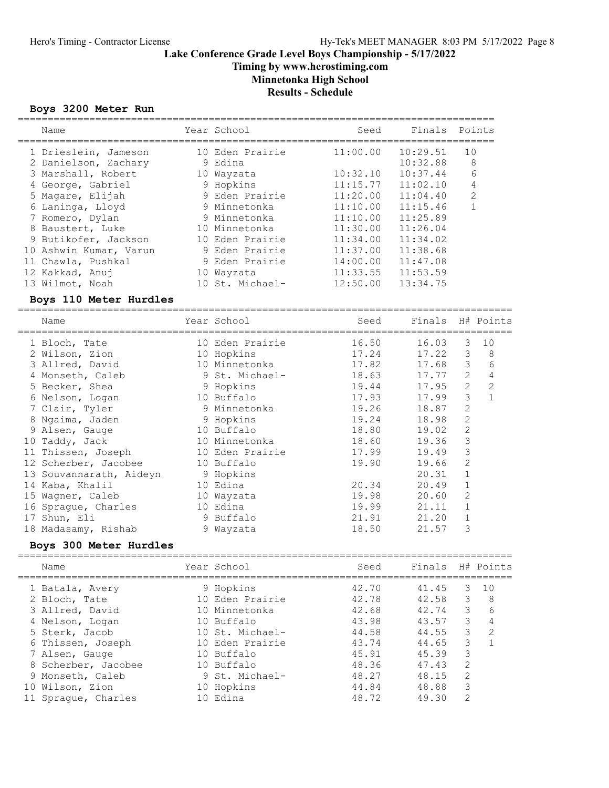### Lake Conference Grade Level Boys Championship - 5/17/2022 Timing by www.herostiming.com

Minnetonka High School

Results - Schedule

#### Boys 3200 Meter Run

| Name                   | Year School     | Seed     | Finals   | Points         |
|------------------------|-----------------|----------|----------|----------------|
| 1 Drieslein, Jameson   | 10 Eden Prairie | 11:00.00 | 10:29.51 | 10             |
| 2 Danielson, Zachary   | 9 Edina         |          | 10:32.88 | 8              |
| 3 Marshall, Robert     | 10 Wayzata      | 10:32.10 | 10:37.44 | 6              |
| 4 George, Gabriel      | 9 Hopkins       | 11:15.77 | 11:02.10 | 4              |
| 5 Magare, Elijah       | 9 Eden Prairie  | 11:20.00 | 11:04.40 | $\overline{2}$ |
| 6 Laninga, Lloyd       | 9 Minnetonka    | 11:10.00 | 11:15.46 |                |
| 7 Romero, Dylan        | 9 Minnetonka    | 11:10.00 | 11:25.89 |                |
| 8 Baustert, Luke       | 10 Minnetonka   | 11:30.00 | 11:26.04 |                |
| 9 Butikofer, Jackson   | 10 Eden Prairie | 11:34.00 | 11:34.02 |                |
| 10 Ashwin Kumar, Varun | 9 Eden Prairie  | 11:37.00 | 11:38.68 |                |
| 11 Chawla, Pushkal     | 9 Eden Prairie  | 14:00.00 | 11:47.08 |                |
| 12 Kakkad, Anuj        | 10 Wayzata      | 11:33.55 | 11:53.59 |                |
| 13 Wilmot, Noah        | 10 St. Michael- | 12:50.00 | 13:34.75 |                |
| Boys 110 Meter Hurdles |                 |          |          |                |

#### =================================================================================== Name The Year School Contract Seed Finals H# Points =================================================================================== 1 Bloch, Tate 10 Eden Prairie 16.50 16.03 3 10 2 Wilson, Zion 10 Hopkins 17.24 17.22 3 8 3 Allred, David 10 Minnetonka 17.82 17.68 3 6 4 Monseth, Caleb 9 St. Michael- 18.63 17.77 2 4 5 Becker, Shea 9 Hopkins 19.44 17.95 2 2 6 Nelson, Logan 10 Buffalo 17.93 17.99 3 1 7 Clair, Tyler 9 Minnetonka 19.26 18.87 2 8 Ngaima, Jaden 9 Hopkins 19.24 18.98 2 9 Alsen, Gauge 10 Buffalo 18.80 19.02 2 10 Taddy, Jack 10 Minnetonka 18.60 19.36 3 11 Thissen, Joseph 10 Eden Prairie 17.99 19.49 3 12 Scherber, Jacobee 10 Buffalo 19.90 19.66 2 13 Souvannarath, Aideyn 9 Hopkins 20.31 1 14 Kaba, Khalil 10 Edina 20.34 20.49 1 15 Wagner, Caleb 10 Wayzata 19.98 20.60 2 16 Sprague, Charles 10 Edina 19.99 21.11 1 17 Shun, Eli 9 Buffalo 21.91 21.20 1 18 Madasamy, Rishab 9 Wayzata 18.50 21.57 3

#### Boys 300 Meter Hurdles

| Name                |     | Seed                                                                                                                                                                            |       |               |                                        |
|---------------------|-----|---------------------------------------------------------------------------------------------------------------------------------------------------------------------------------|-------|---------------|----------------------------------------|
| 1 Batala, Avery     |     | 42.70                                                                                                                                                                           | 41.45 |               | 1 O                                    |
| 2 Bloch, Tate       |     | 42.78                                                                                                                                                                           | 42.58 | 3             | 8                                      |
| 3 Allred, David     |     | 42.68                                                                                                                                                                           | 42.74 |               | 6                                      |
| 4 Nelson, Logan     |     | 43.98                                                                                                                                                                           | 43.57 | 3             |                                        |
| 5 Sterk, Jacob      |     | 44.58                                                                                                                                                                           | 44.55 | 3             | $\mathcal{L}$                          |
| 6 Thissen, Joseph   |     | 43.74                                                                                                                                                                           | 44.65 | 3             |                                        |
| 7 Alsen, Gauge      |     | 45.91                                                                                                                                                                           | 45.39 | 3             |                                        |
| 8 Scherber, Jacobee | 1 O | 48.36                                                                                                                                                                           | 47.43 | 2             |                                        |
| 9 Monseth, Caleb    |     | 48.27                                                                                                                                                                           | 48.15 | $\mathcal{L}$ |                                        |
| 10 Wilson, Zion     | 10  | 44.84                                                                                                                                                                           | 48.88 | 3             |                                        |
| 11 Spraque, Charles |     | 48.72                                                                                                                                                                           | 49.30 | $\mathcal{L}$ |                                        |
|                     |     | Year School<br>9 Hopkins<br>10 Eden Prairie<br>10 Minnetonka<br>10 Buffalo<br>10 St. Michael-<br>10 Eden Prairie<br>10 Buffalo<br>Buffalo<br>9 St. Michael-<br>Hopkins<br>Edina |       |               | Finals H# Points<br>3<br>$\mathcal{E}$ |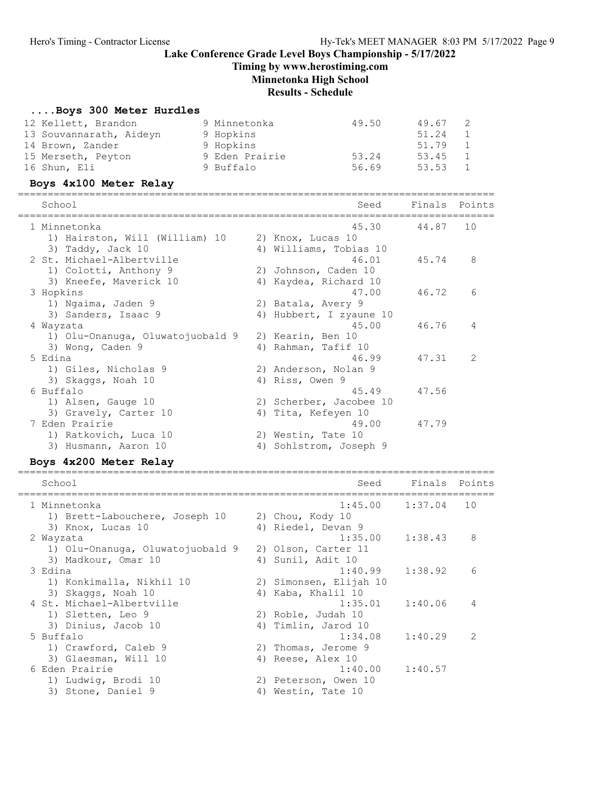Timing by www.herostiming.com

Minnetonka High School

Results - Schedule

#### ....Boys 300 Meter Hurdles

| 12 Kellett, Brandon<br>13 Souvannarath, Aideyn<br>14 Brown, Zander<br>15 Merseth, Peyton<br>16 Shun, Eli | 9 Minnetonka<br>9 Hopkins<br>9 Hopkins<br>9 Eden Prairie<br>9 Buffalo | 49.50<br>53.24<br>56.69                       | 49.67<br>51.24<br>51.79<br>53.45<br>53.53 | 2<br>$\mathbf{1}$<br>$\mathbf{1}$<br>1<br>1 |
|----------------------------------------------------------------------------------------------------------|-----------------------------------------------------------------------|-----------------------------------------------|-------------------------------------------|---------------------------------------------|
| Boys 4x100 Meter Relay                                                                                   |                                                                       |                                               |                                           |                                             |
| School                                                                                                   |                                                                       | Seed<br>===============================       | Finals                                    | Points                                      |
| 1 Minnetonka                                                                                             |                                                                       | 45.30                                         | 44.87                                     | 10                                          |
| 1) Hairston, Will (William) 10                                                                           |                                                                       | 2) Knox, Lucas 10                             |                                           |                                             |
| 3) Taddy, Jack 10                                                                                        |                                                                       | 4) Williams, Tobias 10                        |                                           |                                             |
| 2 St. Michael-Albertville                                                                                |                                                                       | 46.01                                         | 45.74                                     | 8                                           |
| 1) Colotti, Anthony 9<br>3) Kneefe, Maverick 10                                                          |                                                                       | 2) Johnson, Caden 10<br>4) Kaydea, Richard 10 |                                           |                                             |
| 3 Hopkins                                                                                                |                                                                       | 47.00                                         | 46.72                                     | $6\overline{6}$                             |
| 1) Ngaima, Jaden 9                                                                                       |                                                                       | 2) Batala, Avery 9                            |                                           |                                             |
| 3) Sanders, Isaac 9                                                                                      |                                                                       | 4) Hubbert, I zyaune 10                       |                                           |                                             |
| 4 Wayzata                                                                                                |                                                                       | 45.00                                         | 46.76                                     | 4                                           |
| 1) Olu-Onanuga, Oluwatojuobald 9                                                                         |                                                                       | 2) Kearin, Ben 10                             |                                           |                                             |
| 3) Wong, Caden 9                                                                                         |                                                                       | 4) Rahman, Tafif 10                           |                                           |                                             |
| 5 Edina                                                                                                  |                                                                       | 46.99                                         | 47.31                                     | 2                                           |
| 1) Giles, Nicholas 9                                                                                     |                                                                       | 2) Anderson, Nolan 9                          |                                           |                                             |
| 3) Skaggs, Noah 10                                                                                       |                                                                       | 4) Riss, Owen 9                               |                                           |                                             |
| 6 Buffalo                                                                                                |                                                                       | 45.49                                         | 47.56                                     |                                             |
| 1) Alsen, Gauge 10                                                                                       |                                                                       | 2) Scherber, Jacobee 10                       |                                           |                                             |
| 3) Gravely, Carter 10                                                                                    |                                                                       | 4) Tita, Kefeyen 10                           |                                           |                                             |
| 7 Eden Prairie                                                                                           |                                                                       | 49.00                                         | 47.79                                     |                                             |
| 1) Ratkovich, Luca 10                                                                                    |                                                                       | 2) Westin, Tate 10                            |                                           |                                             |
| 3) Husmann, Aaron 10                                                                                     |                                                                       | 4) Sohlstrom, Joseph 9                        |                                           |                                             |
| Boys 4x200 Meter Relay<br>-----------<br>============================                                    |                                                                       | ------------------------------------          |                                           |                                             |
|                                                                                                          |                                                                       |                                               |                                           |                                             |

### School School Seed Finals Points ================================================================================ 1 Minnetonka 1:45.00 1:37.04 10 1) Brett-Labouchere, Joseph 10 2) Chou, Kody 10 3) Knox, Lucas 10 4) Riedel, Devan 9 2 Wayzata 1:35.00 1:38.43 8 1) Olu-Onanuga, Oluwatojuobald 9 2) Olson, Carter 11 3) Madkour, Omar 10 (4) Sunil, Adit 10<br>1:40.99 1:38.92 (6) 3 Edina 1:40.99 1:38.92 6 1) Konkimalla, Nikhil 10 2) Simonsen, Elijah 10 3) Skaggs, Noah 10 4) Kaba, Khalil 10 4 St. Michael-Albertville 1:35.01 1:40.06 4 1) Sletten, Leo 9 2) Roble, Judah 10 3) Dinius, Jacob 10 4) Timlin, Jarod 10 5 Buffalo 1:34.08 1:40.29 2 1) Crawford, Caleb 9 2) Thomas, Jerome 9 3) Glaesman, Will 10 4) Reese, Alex 10 6 Eden Prairie 1:40.00 1:40.57 1) Ludwig, Brodi 10 2) Peterson, Owen 10 3) Stone, Daniel 9 4) Westin, Tate 10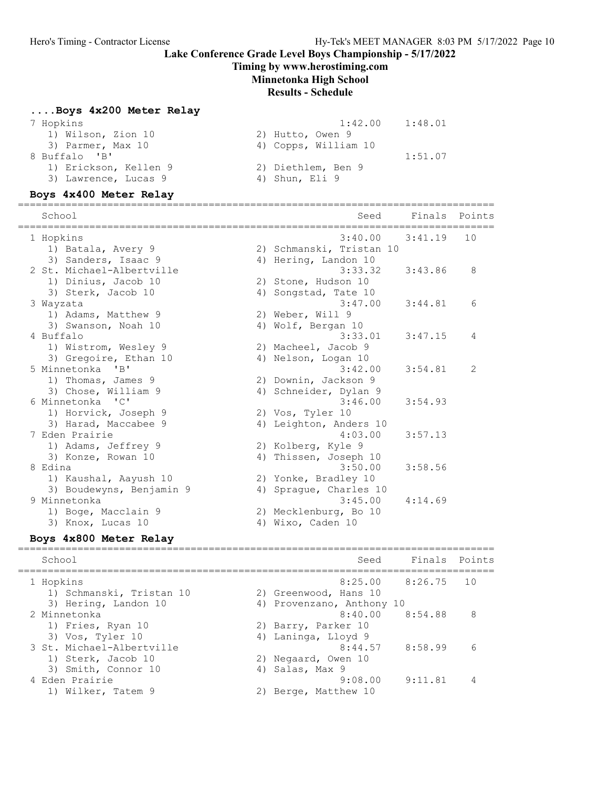#### Timing by www.herostiming.com

#### Minnetonka High School

#### Results - Schedule

#### ....Boys 4x200 Meter Relay

| 7 Hopkins             | 1:42.00              | 1:48.01 |
|-----------------------|----------------------|---------|
| 1) Wilson, Zion 10    | 2) Hutto, Owen 9     |         |
| 3) Parmer, Max 10     | 4) Copps, William 10 |         |
| 8 Buffalo 'B'         |                      | 1:51.07 |
| 1) Erickson, Kellen 9 | 2) Diethlem, Ben 9   |         |
| 3) Lawrence, Lucas 9  | 4) Shun, Eli 9       |         |
|                       |                      |         |

#### Boys 4x400 Meter Relay

================================================================================ School Seed Finals Points ================================================================================ 1 Hopkins 3:40.00 3:41.19 10 1) Batala, Avery 9 2) Schmanski, Tristan 10 3) Sanders, Isaac 9 19 19 4) Hering, Landon 10 2 St. Michael-Albertville 3:33.32 3:43.86 8 1) Dinius, Jacob 10 2) Stone, Hudson 10 3) Sterk, Jacob 10 (4) Songstad, Tate 10 3 Wayzata 3:47.00 3:44.81 6 1) Adams, Matthew 9 2) Weber, Will 9 3) Swanson, Noah 10 4) Wolf, Bergan 10 4 Buffalo 3:33.01 3:47.15 4 1) Wistrom, Wesley 9 2) Macheel, Jacob 9 3) Gregoire, Ethan 10 (4) Nelson, Logan 10 5 Minnetonka 'B' 3:42.00 3:54.81 2 1) Thomas, James 9 2) Downin, Jackson 9 3) Chose, William 9 4) Schneider, Dylan 9 6 Minnetonka 'C' 3:46.00 3:54.93 1) Horvick, Joseph 9 2) Vos, Tyler 10 3) Harad, Maccabee 9 4) Leighton, Anders 10 7 Eden Prairie 4:03.00 3:57.13 1) Adams, Jeffrey 9 2) Kolberg, Kyle 9 3) Konze, Rowan 10 4) Thissen, Joseph 10 8 Edina 3:50.00 3:58.56 1) Kaushal, Aayush 10 2) Yonke, Bradley 10 3) Boudewyns, Benjamin 9 4) Sprague, Charles 10 9 Minnetonka 3:45.00 4:14.69 1) Boge, Macclain 9 2) Mecklenburg, Bo 10 3) Knox, Lucas 10 4) Wixo, Caden 10

### Boys 4x800 Meter Relay

================================================================================

 School Seed Finals Points ================================================================================ 1 Hopkins 8:25.00 8:26.75 10 1) Schmanski, Tristan 10 2) Greenwood, Hans 10 3) Hering, Landon 10 4) Provenzano, Anthony 10 2 Minnetonka 8:40.00 8:54.88 8 1) Fries, Ryan 10 2) Barry, Parker 10 3) Vos, Tyler 10 and 4) Laninga, Lloyd 9 3 St. Michael-Albertville 8:44.57 8:58.99 6 1) Sterk, Jacob 10 2) Negaard, Owen 10 3) Smith, Connor 10 4) Salas, Max 9 4 Eden Prairie 9:08.00 9:11.81 4 1) Wilker, Tatem 9 2) Berge, Matthew 10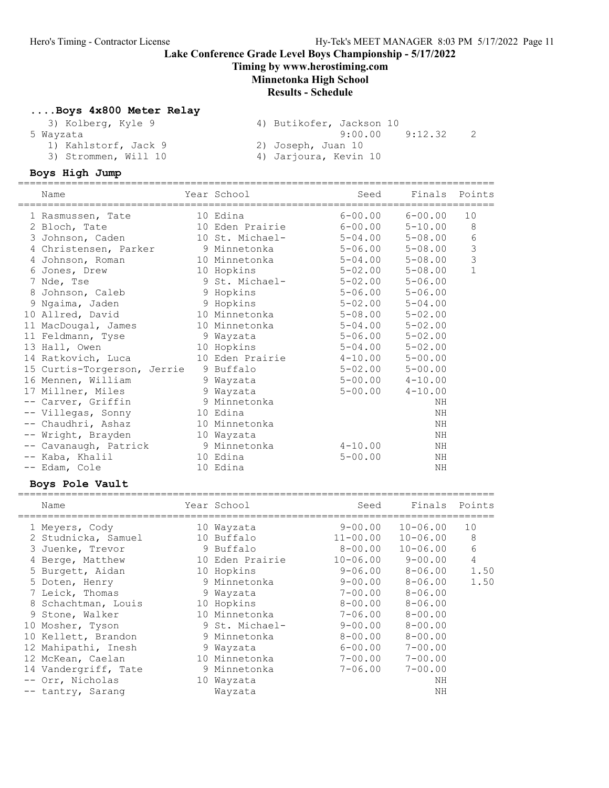### Lake Conference Grade Level Boys Championship - 5/17/2022 Timing by www.herostiming.com Minnetonka High School Results - Schedule

#### ....Boys 4x800 Meter Relay

| 3) Kolberg, Kyle 9   | 4) Butikofer, Jackson 10 |
|----------------------|--------------------------|
| 5 Wayzata            | 9:12.32<br>9:00.00       |
| 1) Kahlstorf, Jack 9 | 2) Joseph, Juan 10       |
| 3) Strommen, Will 10 | 4) Jarjoura, Kevin 10    |

### Boys High Jump

| $6 - 00.00$<br>10<br>10 Edina<br>$6 - 00.00$<br>1 Rasmussen, Tate<br>8<br>10 Eden Prairie<br>$6 - 00.00$<br>$5 - 10.00$<br>2 Bloch, Tate<br>6<br>10 St. Michael-<br>3 Johnson, Caden<br>$5 - 04.00$<br>$5 - 08.00$<br>$\mathsf 3$<br>9 Minnetonka<br>$5 - 06.00$<br>4 Christensen, Parker<br>$5 - 08.00$<br>3<br>4 Johnson, Roman<br>10 Minnetonka<br>$5 - 04.00$<br>$5 - 08.00$<br>$\mathbf{1}$<br>10 Hopkins<br>$5 - 02.00$<br>$5 - 08.00$<br>6 Jones, Drew<br>9 St. Michael-<br>$5 - 02.00$<br>7 Nde, Tse<br>$5 - 06.00$<br>8 Johnson, Caleb<br>9 Hopkins<br>$5 - 06.00$<br>$5 - 06.00$<br>9 Ngaima, Jaden<br>9 Hopkins<br>$5 - 02.00$<br>$5 - 04.00$<br>10 Minnetonka<br>10 Allred, David<br>$5 - 08.00$<br>$5 - 02.00$<br>11 MacDougal, James<br>10 Minnetonka<br>$5 - 02.00$<br>$5 - 04.00$<br>$5 - 06.00$<br>11 Feldmann, Tyse<br>9 Wayzata<br>$5 - 02.00$<br>13 Hall, Owen<br>10 Hopkins<br>$5 - 04.00$<br>$5 - 02.00$<br>14 Ratkovich, Luca<br>10 Eden Prairie<br>$4 - 10.00$<br>$5 - 00.00$<br>9 Buffalo<br>15 Curtis-Torgerson, Jerrie<br>$5 - 02.00$<br>$5 - 00.00$<br>16 Mennen, William<br>9 Wayzata<br>$5 - 00.00$<br>$4 - 10.00$<br>17 Millner, Miles<br>9 Wayzata<br>$5 - 00.00$<br>$4 - 10.00$<br>9 Minnetonka<br>-- Carver, Griffin<br>ΝH<br>10 Edina<br>-- Villegas, Sonny<br>ΝH<br>-- Chaudhri, Ashaz<br>10 Minnetonka<br>ΝH<br>-- Wright, Brayden<br>ΝH<br>10 Wayzata<br>9 Minnetonka<br>-- Cavanaugh, Patrick<br>$4 - 10.00$<br>ΝH<br>-- Kaba, Khalil<br>10 Edina<br>$5 - 00.00$<br>ΝH<br>10 Edina<br>-- Edam, Cole<br>NH<br>Boys Pole Vault<br>Points<br>Year School<br>Finals<br>Seed<br>Name<br>$9 - 00.00$<br>10<br>$10 - 06.00$<br>1 Meyers, Cody<br>10 Wayzata<br>8<br>2 Studnicka, Samuel<br>10 Buffalo<br>$11 - 00.00$<br>$10 - 06.00$<br>6<br>9 Buffalo<br>3 Juenke, Trevor<br>$8 - 00.00$<br>$10 - 06.00$<br>4<br>10 Eden Prairie<br>$10 - 06.00$<br>$9 - 00.00$<br>4 Berge, Matthew<br>$9 - 06.00$<br>$8 - 06.00$<br>5 Burgett, Aidan<br>10 Hopkins<br>1.50<br>5 Doten, Henry<br>9 Minnetonka<br>$9 - 00.00$<br>$8 - 06.00$<br>7 Leick, Thomas<br>$7 - 00.00$<br>$8 - 06.00$<br>9 Wayzata<br>10 Hopkins<br>$8 - 00.00$<br>8 Schachtman, Louis<br>$8 - 06.00$ | Name | Year School<br>===================== | Seed        | Finals      | Points |
|------------------------------------------------------------------------------------------------------------------------------------------------------------------------------------------------------------------------------------------------------------------------------------------------------------------------------------------------------------------------------------------------------------------------------------------------------------------------------------------------------------------------------------------------------------------------------------------------------------------------------------------------------------------------------------------------------------------------------------------------------------------------------------------------------------------------------------------------------------------------------------------------------------------------------------------------------------------------------------------------------------------------------------------------------------------------------------------------------------------------------------------------------------------------------------------------------------------------------------------------------------------------------------------------------------------------------------------------------------------------------------------------------------------------------------------------------------------------------------------------------------------------------------------------------------------------------------------------------------------------------------------------------------------------------------------------------------------------------------------------------------------------------------------------------------------------------------------------------------------------------------------------------------------------------------------------------------------------------------------------------------------------------------------------------------------------------------------------------------------------------------------------------------------------------------------------|------|--------------------------------------|-------------|-------------|--------|
|                                                                                                                                                                                                                                                                                                                                                                                                                                                                                                                                                                                                                                                                                                                                                                                                                                                                                                                                                                                                                                                                                                                                                                                                                                                                                                                                                                                                                                                                                                                                                                                                                                                                                                                                                                                                                                                                                                                                                                                                                                                                                                                                                                                                |      |                                      |             |             |        |
| 1.50                                                                                                                                                                                                                                                                                                                                                                                                                                                                                                                                                                                                                                                                                                                                                                                                                                                                                                                                                                                                                                                                                                                                                                                                                                                                                                                                                                                                                                                                                                                                                                                                                                                                                                                                                                                                                                                                                                                                                                                                                                                                                                                                                                                           |      |                                      |             |             |        |
|                                                                                                                                                                                                                                                                                                                                                                                                                                                                                                                                                                                                                                                                                                                                                                                                                                                                                                                                                                                                                                                                                                                                                                                                                                                                                                                                                                                                                                                                                                                                                                                                                                                                                                                                                                                                                                                                                                                                                                                                                                                                                                                                                                                                |      |                                      |             |             |        |
|                                                                                                                                                                                                                                                                                                                                                                                                                                                                                                                                                                                                                                                                                                                                                                                                                                                                                                                                                                                                                                                                                                                                                                                                                                                                                                                                                                                                                                                                                                                                                                                                                                                                                                                                                                                                                                                                                                                                                                                                                                                                                                                                                                                                |      |                                      |             |             |        |
|                                                                                                                                                                                                                                                                                                                                                                                                                                                                                                                                                                                                                                                                                                                                                                                                                                                                                                                                                                                                                                                                                                                                                                                                                                                                                                                                                                                                                                                                                                                                                                                                                                                                                                                                                                                                                                                                                                                                                                                                                                                                                                                                                                                                |      |                                      |             |             |        |
|                                                                                                                                                                                                                                                                                                                                                                                                                                                                                                                                                                                                                                                                                                                                                                                                                                                                                                                                                                                                                                                                                                                                                                                                                                                                                                                                                                                                                                                                                                                                                                                                                                                                                                                                                                                                                                                                                                                                                                                                                                                                                                                                                                                                |      |                                      |             |             |        |
|                                                                                                                                                                                                                                                                                                                                                                                                                                                                                                                                                                                                                                                                                                                                                                                                                                                                                                                                                                                                                                                                                                                                                                                                                                                                                                                                                                                                                                                                                                                                                                                                                                                                                                                                                                                                                                                                                                                                                                                                                                                                                                                                                                                                |      |                                      |             |             |        |
|                                                                                                                                                                                                                                                                                                                                                                                                                                                                                                                                                                                                                                                                                                                                                                                                                                                                                                                                                                                                                                                                                                                                                                                                                                                                                                                                                                                                                                                                                                                                                                                                                                                                                                                                                                                                                                                                                                                                                                                                                                                                                                                                                                                                |      |                                      |             |             |        |
|                                                                                                                                                                                                                                                                                                                                                                                                                                                                                                                                                                                                                                                                                                                                                                                                                                                                                                                                                                                                                                                                                                                                                                                                                                                                                                                                                                                                                                                                                                                                                                                                                                                                                                                                                                                                                                                                                                                                                                                                                                                                                                                                                                                                |      |                                      |             |             |        |
|                                                                                                                                                                                                                                                                                                                                                                                                                                                                                                                                                                                                                                                                                                                                                                                                                                                                                                                                                                                                                                                                                                                                                                                                                                                                                                                                                                                                                                                                                                                                                                                                                                                                                                                                                                                                                                                                                                                                                                                                                                                                                                                                                                                                |      |                                      |             |             |        |
|                                                                                                                                                                                                                                                                                                                                                                                                                                                                                                                                                                                                                                                                                                                                                                                                                                                                                                                                                                                                                                                                                                                                                                                                                                                                                                                                                                                                                                                                                                                                                                                                                                                                                                                                                                                                                                                                                                                                                                                                                                                                                                                                                                                                |      |                                      |             |             |        |
|                                                                                                                                                                                                                                                                                                                                                                                                                                                                                                                                                                                                                                                                                                                                                                                                                                                                                                                                                                                                                                                                                                                                                                                                                                                                                                                                                                                                                                                                                                                                                                                                                                                                                                                                                                                                                                                                                                                                                                                                                                                                                                                                                                                                |      |                                      |             |             |        |
|                                                                                                                                                                                                                                                                                                                                                                                                                                                                                                                                                                                                                                                                                                                                                                                                                                                                                                                                                                                                                                                                                                                                                                                                                                                                                                                                                                                                                                                                                                                                                                                                                                                                                                                                                                                                                                                                                                                                                                                                                                                                                                                                                                                                |      |                                      |             |             |        |
|                                                                                                                                                                                                                                                                                                                                                                                                                                                                                                                                                                                                                                                                                                                                                                                                                                                                                                                                                                                                                                                                                                                                                                                                                                                                                                                                                                                                                                                                                                                                                                                                                                                                                                                                                                                                                                                                                                                                                                                                                                                                                                                                                                                                |      |                                      |             |             |        |
|                                                                                                                                                                                                                                                                                                                                                                                                                                                                                                                                                                                                                                                                                                                                                                                                                                                                                                                                                                                                                                                                                                                                                                                                                                                                                                                                                                                                                                                                                                                                                                                                                                                                                                                                                                                                                                                                                                                                                                                                                                                                                                                                                                                                |      |                                      |             |             |        |
|                                                                                                                                                                                                                                                                                                                                                                                                                                                                                                                                                                                                                                                                                                                                                                                                                                                                                                                                                                                                                                                                                                                                                                                                                                                                                                                                                                                                                                                                                                                                                                                                                                                                                                                                                                                                                                                                                                                                                                                                                                                                                                                                                                                                |      |                                      |             |             |        |
|                                                                                                                                                                                                                                                                                                                                                                                                                                                                                                                                                                                                                                                                                                                                                                                                                                                                                                                                                                                                                                                                                                                                                                                                                                                                                                                                                                                                                                                                                                                                                                                                                                                                                                                                                                                                                                                                                                                                                                                                                                                                                                                                                                                                |      |                                      |             |             |        |
|                                                                                                                                                                                                                                                                                                                                                                                                                                                                                                                                                                                                                                                                                                                                                                                                                                                                                                                                                                                                                                                                                                                                                                                                                                                                                                                                                                                                                                                                                                                                                                                                                                                                                                                                                                                                                                                                                                                                                                                                                                                                                                                                                                                                |      |                                      |             |             |        |
|                                                                                                                                                                                                                                                                                                                                                                                                                                                                                                                                                                                                                                                                                                                                                                                                                                                                                                                                                                                                                                                                                                                                                                                                                                                                                                                                                                                                                                                                                                                                                                                                                                                                                                                                                                                                                                                                                                                                                                                                                                                                                                                                                                                                |      |                                      |             |             |        |
|                                                                                                                                                                                                                                                                                                                                                                                                                                                                                                                                                                                                                                                                                                                                                                                                                                                                                                                                                                                                                                                                                                                                                                                                                                                                                                                                                                                                                                                                                                                                                                                                                                                                                                                                                                                                                                                                                                                                                                                                                                                                                                                                                                                                |      |                                      |             |             |        |
|                                                                                                                                                                                                                                                                                                                                                                                                                                                                                                                                                                                                                                                                                                                                                                                                                                                                                                                                                                                                                                                                                                                                                                                                                                                                                                                                                                                                                                                                                                                                                                                                                                                                                                                                                                                                                                                                                                                                                                                                                                                                                                                                                                                                |      |                                      |             |             |        |
|                                                                                                                                                                                                                                                                                                                                                                                                                                                                                                                                                                                                                                                                                                                                                                                                                                                                                                                                                                                                                                                                                                                                                                                                                                                                                                                                                                                                                                                                                                                                                                                                                                                                                                                                                                                                                                                                                                                                                                                                                                                                                                                                                                                                |      |                                      |             |             |        |
|                                                                                                                                                                                                                                                                                                                                                                                                                                                                                                                                                                                                                                                                                                                                                                                                                                                                                                                                                                                                                                                                                                                                                                                                                                                                                                                                                                                                                                                                                                                                                                                                                                                                                                                                                                                                                                                                                                                                                                                                                                                                                                                                                                                                |      |                                      |             |             |        |
|                                                                                                                                                                                                                                                                                                                                                                                                                                                                                                                                                                                                                                                                                                                                                                                                                                                                                                                                                                                                                                                                                                                                                                                                                                                                                                                                                                                                                                                                                                                                                                                                                                                                                                                                                                                                                                                                                                                                                                                                                                                                                                                                                                                                |      |                                      |             |             |        |
|                                                                                                                                                                                                                                                                                                                                                                                                                                                                                                                                                                                                                                                                                                                                                                                                                                                                                                                                                                                                                                                                                                                                                                                                                                                                                                                                                                                                                                                                                                                                                                                                                                                                                                                                                                                                                                                                                                                                                                                                                                                                                                                                                                                                |      |                                      |             |             |        |
|                                                                                                                                                                                                                                                                                                                                                                                                                                                                                                                                                                                                                                                                                                                                                                                                                                                                                                                                                                                                                                                                                                                                                                                                                                                                                                                                                                                                                                                                                                                                                                                                                                                                                                                                                                                                                                                                                                                                                                                                                                                                                                                                                                                                |      |                                      |             |             |        |
|                                                                                                                                                                                                                                                                                                                                                                                                                                                                                                                                                                                                                                                                                                                                                                                                                                                                                                                                                                                                                                                                                                                                                                                                                                                                                                                                                                                                                                                                                                                                                                                                                                                                                                                                                                                                                                                                                                                                                                                                                                                                                                                                                                                                |      |                                      |             |             |        |
|                                                                                                                                                                                                                                                                                                                                                                                                                                                                                                                                                                                                                                                                                                                                                                                                                                                                                                                                                                                                                                                                                                                                                                                                                                                                                                                                                                                                                                                                                                                                                                                                                                                                                                                                                                                                                                                                                                                                                                                                                                                                                                                                                                                                |      |                                      |             |             |        |
|                                                                                                                                                                                                                                                                                                                                                                                                                                                                                                                                                                                                                                                                                                                                                                                                                                                                                                                                                                                                                                                                                                                                                                                                                                                                                                                                                                                                                                                                                                                                                                                                                                                                                                                                                                                                                                                                                                                                                                                                                                                                                                                                                                                                |      |                                      |             |             |        |
|                                                                                                                                                                                                                                                                                                                                                                                                                                                                                                                                                                                                                                                                                                                                                                                                                                                                                                                                                                                                                                                                                                                                                                                                                                                                                                                                                                                                                                                                                                                                                                                                                                                                                                                                                                                                                                                                                                                                                                                                                                                                                                                                                                                                |      |                                      |             |             |        |
|                                                                                                                                                                                                                                                                                                                                                                                                                                                                                                                                                                                                                                                                                                                                                                                                                                                                                                                                                                                                                                                                                                                                                                                                                                                                                                                                                                                                                                                                                                                                                                                                                                                                                                                                                                                                                                                                                                                                                                                                                                                                                                                                                                                                |      |                                      |             |             |        |
|                                                                                                                                                                                                                                                                                                                                                                                                                                                                                                                                                                                                                                                                                                                                                                                                                                                                                                                                                                                                                                                                                                                                                                                                                                                                                                                                                                                                                                                                                                                                                                                                                                                                                                                                                                                                                                                                                                                                                                                                                                                                                                                                                                                                |      |                                      |             |             |        |
|                                                                                                                                                                                                                                                                                                                                                                                                                                                                                                                                                                                                                                                                                                                                                                                                                                                                                                                                                                                                                                                                                                                                                                                                                                                                                                                                                                                                                                                                                                                                                                                                                                                                                                                                                                                                                                                                                                                                                                                                                                                                                                                                                                                                |      |                                      |             |             |        |
|                                                                                                                                                                                                                                                                                                                                                                                                                                                                                                                                                                                                                                                                                                                                                                                                                                                                                                                                                                                                                                                                                                                                                                                                                                                                                                                                                                                                                                                                                                                                                                                                                                                                                                                                                                                                                                                                                                                                                                                                                                                                                                                                                                                                |      |                                      |             |             |        |
| 10 Minnetonka<br>9 Stone, Walker                                                                                                                                                                                                                                                                                                                                                                                                                                                                                                                                                                                                                                                                                                                                                                                                                                                                                                                                                                                                                                                                                                                                                                                                                                                                                                                                                                                                                                                                                                                                                                                                                                                                                                                                                                                                                                                                                                                                                                                                                                                                                                                                                               |      |                                      | $7 - 06.00$ | $8 - 00.00$ |        |
| 10 Mosher, Tyson<br>9 St. Michael-<br>$9 - 00.00$<br>$8 - 00.00$                                                                                                                                                                                                                                                                                                                                                                                                                                                                                                                                                                                                                                                                                                                                                                                                                                                                                                                                                                                                                                                                                                                                                                                                                                                                                                                                                                                                                                                                                                                                                                                                                                                                                                                                                                                                                                                                                                                                                                                                                                                                                                                               |      |                                      |             |             |        |
| 10 Kellett, Brandon<br>9 Minnetonka<br>$8 - 00.00$<br>$8 - 00.00$                                                                                                                                                                                                                                                                                                                                                                                                                                                                                                                                                                                                                                                                                                                                                                                                                                                                                                                                                                                                                                                                                                                                                                                                                                                                                                                                                                                                                                                                                                                                                                                                                                                                                                                                                                                                                                                                                                                                                                                                                                                                                                                              |      |                                      |             |             |        |
| 12 Mahipathi, Inesh<br>9 Wayzata<br>$6 - 00.00$<br>$7 - 00.00$                                                                                                                                                                                                                                                                                                                                                                                                                                                                                                                                                                                                                                                                                                                                                                                                                                                                                                                                                                                                                                                                                                                                                                                                                                                                                                                                                                                                                                                                                                                                                                                                                                                                                                                                                                                                                                                                                                                                                                                                                                                                                                                                 |      |                                      |             |             |        |

 12 McKean, Caelan 10 Minnetonka 7-00.00 7-00.00 14 Vandergriff, Tate 9 Minnetonka 7-06.00 7-00.00 -- Orr, Nicholas 10 Wayzata NH -- tantry, Sarang Wayzata NH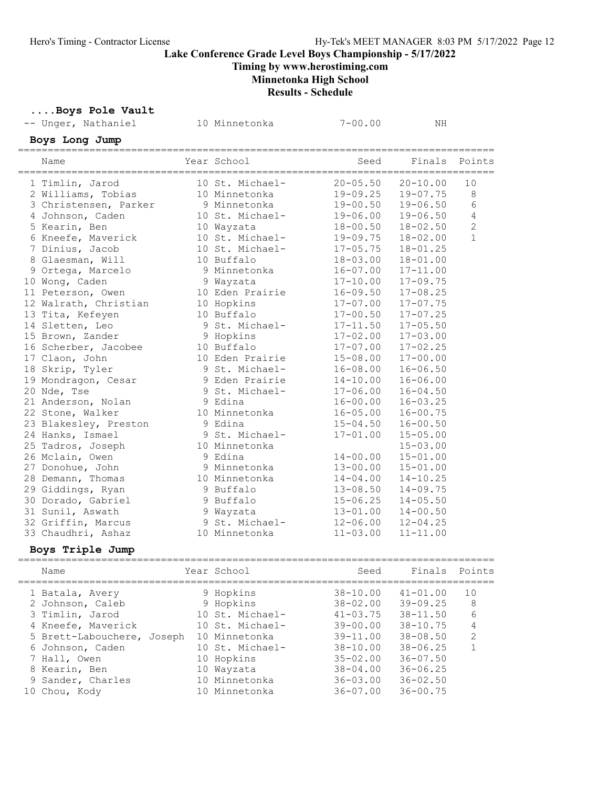Timing by www.herostiming.com

# Minnetonka High School

Results - Schedule

Boys Pole Vault

| -- Unger, Nathaniel                  | 10 Minnetonka   | $7 - 00.00$  | NΗ           |                |
|--------------------------------------|-----------------|--------------|--------------|----------------|
| Boys Long Jump                       |                 |              |              |                |
| Name                                 | Year School     | Seed         | Finals       | Points         |
| 1 Timlin, Jarod                      | 10 St. Michael- | $20 - 05.50$ | $20 - 10.00$ | 10             |
| 2 Williams, Tobias                   | 10 Minnetonka   | 19-09.25     | $19 - 07.75$ | 8              |
| 3 Christensen, Parker                | 9 Minnetonka    | $19 - 00.50$ | $19 - 06.50$ | 6              |
| 4 Johnson, Caden                     | 10 St. Michael- | 19-06.00     | $19 - 06.50$ | $\overline{4}$ |
| 5 Kearin, Ben                        | 10 Wayzata      | 18-00.50     | $18 - 02.50$ | $\overline{2}$ |
| 6 Kneefe, Maverick                   | 10 St. Michael- | 19-09.75     | $18 - 02.00$ | $\mathbf{1}$   |
| 7 Dinius, Jacob                      | 10 St. Michael- | $17 - 05.75$ | $18 - 01.25$ |                |
| 8 Glaesman, Will                     | 10 Buffalo      | $18 - 03.00$ | $18 - 01.00$ |                |
| 9 Ortega, Marcelo                    | 9 Minnetonka    | $16 - 07.00$ | $17 - 11.00$ |                |
| 10 Wong, Caden                       | 9 Wayzata       | $17 - 10.00$ | $17 - 09.75$ |                |
| 11 Peterson, Owen                    | 10 Eden Prairie | $16 - 09.50$ | $17 - 08.25$ |                |
| 12 Walrath, Christian                | 10 Hopkins      | $17 - 07.00$ | $17 - 07.75$ |                |
| 13 Tita, Kefeyen                     | 10 Buffalo      | $17 - 00.50$ | $17 - 07.25$ |                |
| 14 Sletten, Leo                      | 9 St. Michael-  | $17 - 11.50$ | $17 - 05.50$ |                |
| 15 Brown, Zander                     | 9 Hopkins       | $17 - 02.00$ | $17 - 03.00$ |                |
| 16 Scherber, Jacobee                 | 10 Buffalo      | $17 - 07.00$ | $17 - 02.25$ |                |
| 17 Claon, John                       | 10 Eden Prairie | $15 - 08.00$ | $17 - 00.00$ |                |
| 18 Skrip, Tyler                      | 9 St. Michael-  | $16 - 08.00$ | $16 - 06.50$ |                |
| 19 Mondragon, Cesar                  | 9 Eden Prairie  | $14 - 10.00$ | $16 - 06.00$ |                |
| 20 Nde, Tse                          | 9 St. Michael-  | $17 - 06.00$ | $16 - 04.50$ |                |
| 21 Anderson, Nolan                   | 9 Edina         | $16 - 00.00$ | $16 - 03.25$ |                |
| 22 Stone, Walker                     | 10 Minnetonka   | $16 - 05.00$ | $16 - 00.75$ |                |
| 23 Blakesley, Preston                | 9 Edina         | $15 - 04.50$ | $16 - 00.50$ |                |
| 24 Hanks, Ismael                     | 9 St. Michael-  | $17 - 01.00$ | $15 - 05.00$ |                |
| 25 Tadros, Joseph                    | 10 Minnetonka   |              | $15 - 03.00$ |                |
| 26 Mclain, Owen                      | 9 Edina         | $14 - 00.00$ | $15 - 01.00$ |                |
| 27 Donohue, John                     | 9 Minnetonka    | $13 - 00.00$ | $15 - 01.00$ |                |
| 28 Demann, Thomas                    | 10 Minnetonka   | $14 - 04.00$ | $14 - 10.25$ |                |
| 29 Giddings, Ryan                    | 9 Buffalo       | $13 - 08.50$ | $14 - 09.75$ |                |
| 30 Dorado, Gabriel                   | 9 Buffalo       | $15 - 06.25$ | $14 - 05.50$ |                |
| 31 Sunil, Aswath                     | 9 Wayzata       | $13 - 01.00$ | $14 - 00.50$ |                |
| 32 Griffin, Marcus                   | 9 St. Michael-  | $12 - 06.00$ | $12 - 04.25$ |                |
| 33 Chaudhri, Ashaz                   | 10 Minnetonka   | $11 - 03.00$ | $11 - 11.00$ |                |
| Boys Triple Jump                     |                 |              |              |                |
| =============<br>===========<br>Name | Year School     | Seed         | Finals       | Points         |
|                                      |                 | .            |              |                |

| 1 Batala, Avery            | 9 Hopkins       | $38 - 10.00$ | $41 - 01.00$ | 10             |
|----------------------------|-----------------|--------------|--------------|----------------|
| 2 Johnson, Caleb           | 9 Hopkins       | $38 - 02.00$ | $39 - 09.25$ | -8             |
| 3 Timlin, Jarod            | 10 St. Michael- | $41 - 03.75$ | $38 - 11.50$ | 6              |
| 4 Kneefe, Maverick         | 10 St. Michael- | $39 - 00.00$ | $38 - 10.75$ | $\overline{4}$ |
| 5 Brett-Labouchere, Joseph | 10 Minnetonka   | $39 - 11.00$ | $38 - 08.50$ | 2              |
| 6 Johnson, Caden           | 10 St. Michael- | $38 - 10.00$ | $38 - 06.25$ | 1              |
| 7 Hall, Owen               | 10 Hopkins      | $35 - 02.00$ | $36 - 07.50$ |                |
| 8 Kearin, Ben              | 10 Wayzata      | $38 - 04.00$ | $36 - 06.25$ |                |
| 9 Sander, Charles          | 10 Minnetonka   | $36 - 03.00$ | $36 - 02.50$ |                |
| 10 Chou, Kody              | 10 Minnetonka   | $36 - 07.00$ | $36 - 00.75$ |                |
|                            |                 |              |              |                |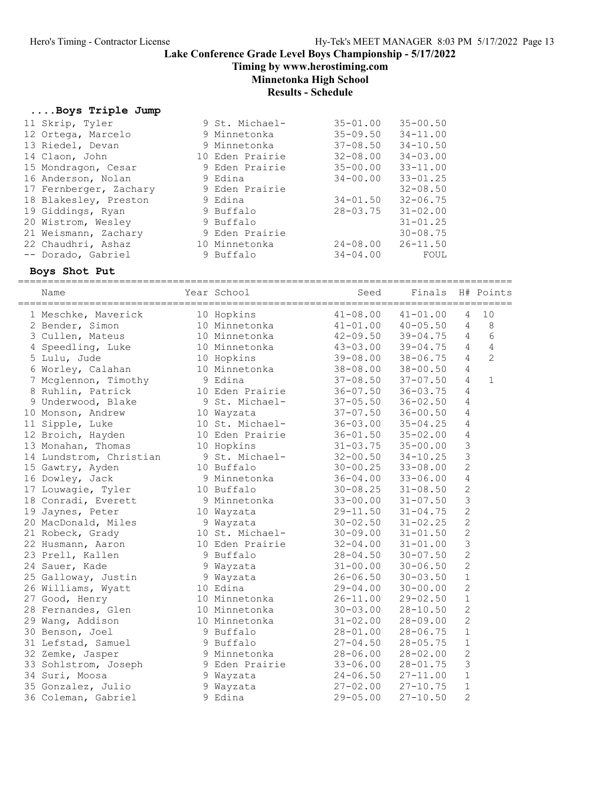Timing by www.herostiming.com

# Minnetonka High School

### Results - Schedule

### ....Boys Triple Jump

| 9 St. Michael-  | $35 - 01.00$ | $35 - 00.50$ |
|-----------------|--------------|--------------|
| 9 Minnetonka    | $35 - 09.50$ | $34 - 11.00$ |
| 9 Minnetonka    | $37 - 08.50$ | $34 - 10.50$ |
| 10 Eden Prairie | $32 - 08.00$ | $34 - 03.00$ |
| 9 Eden Prairie  | $35 - 00.00$ | $33 - 11.00$ |
| 9 Edina         | $34 - 00.00$ | $33 - 01.25$ |
| 9 Eden Prairie  |              | $32 - 08.50$ |
| 9 Edina         | $34 - 01.50$ | $32 - 06.75$ |
| 9 Buffalo       | $28 - 03.75$ | $31 - 02.00$ |
| 9 Buffalo       |              | $31 - 01.25$ |
| 9 Eden Prairie  |              | $30 - 08.75$ |
| 10 Minnetonka   | $24 - 08.00$ | $26 - 11.50$ |
| 9 Buffalo       | $34 - 04.00$ | FOUL         |
|                 |              |              |

### Boys Shot Put

===================================================================================

| Name                    | Year School     | Seed         | Finals       | =======        | H# Points      |
|-------------------------|-----------------|--------------|--------------|----------------|----------------|
| 1 Meschke, Maverick     | 10 Hopkins      | $41 - 08.00$ | $41 - 01.00$ | 4              | 10             |
| 2 Bender, Simon         | 10 Minnetonka   | $41 - 01.00$ | $40 - 05.50$ | $\overline{4}$ | 8              |
| 3 Cullen, Mateus        | 10 Minnetonka   | $42 - 09.50$ | $39 - 04.75$ | $\overline{4}$ | 6              |
| 4 Speedling, Luke       | 10 Minnetonka   | $43 - 03.00$ | $39 - 04.75$ | $\overline{4}$ | $\sqrt{4}$     |
| 5 Lulu, Jude            | 10 Hopkins      | $39 - 08.00$ | $38 - 06.75$ | $\overline{4}$ | $\overline{2}$ |
| 6 Worley, Calahan       | 10 Minnetonka   | $38 - 08.00$ | $38 - 00.50$ | $\overline{4}$ |                |
| 7 Mcglennon, Timothy    | 9 Edina         | $37 - 08.50$ | $37 - 07.50$ | $\overline{4}$ | $\mathbf{1}$   |
| 8 Ruhlin, Patrick       | 10 Eden Prairie | $36 - 07.50$ | $36 - 03.75$ | $\overline{4}$ |                |
| 9 Underwood, Blake      | 9 St. Michael-  | $37 - 05.50$ | $36 - 02.50$ | $\overline{4}$ |                |
| 10 Monson, Andrew       | 10 Wayzata      | $37 - 07.50$ | $36 - 00.50$ | $\overline{4}$ |                |
| 11 Sipple, Luke         | 10 St. Michael- | $36 - 03.00$ | $35 - 04.25$ | $\overline{4}$ |                |
| 12 Broich, Hayden       | 10 Eden Prairie | $36 - 01.50$ | $35 - 02.00$ | 4              |                |
| 13 Monahan, Thomas      | 10 Hopkins      | $31 - 03.75$ | $35 - 00.00$ | 3              |                |
| 14 Lundstrom, Christian | 9 St. Michael-  | $32 - 00.50$ | $34 - 10.25$ | 3              |                |
| 15 Gawtry, Ayden        | 10 Buffalo      | $30 - 00.25$ | $33 - 08.00$ | $\overline{2}$ |                |
| 16 Dowley, Jack         | 9 Minnetonka    | $36 - 04.00$ | $33 - 06.00$ | $\overline{4}$ |                |
| 17 Louwagie, Tyler      | 10 Buffalo      | $30 - 08.25$ | $31 - 08.50$ | $\mathbf{2}$   |                |
| 18 Conradi, Everett     | 9 Minnetonka    | $33 - 00.00$ | $31 - 07.50$ | 3              |                |
| 19 Jaynes, Peter        | 10 Wayzata      | $29 - 11.50$ | $31 - 04.75$ | $\overline{c}$ |                |
| 20 MacDonald, Miles     | 9 Wayzata       | $30 - 02.50$ | $31 - 02.25$ | $\overline{c}$ |                |
| 21 Robeck, Grady        | 10 St. Michael- | $30 - 09.00$ | $31 - 01.50$ | $\overline{c}$ |                |
| 22 Husmann, Aaron       | 10 Eden Prairie | $32 - 04.00$ | $31 - 01.00$ | 3              |                |
| 23 Prell, Kallen        | 9 Buffalo       | $28 - 04.50$ | $30 - 07.50$ | $\overline{c}$ |                |
| 24 Sauer, Kade          | 9 Wayzata       | $31 - 00.00$ | $30 - 06.50$ | $\overline{c}$ |                |
| 25 Galloway, Justin     | 9 Wayzata       | $26 - 06.50$ | $30 - 03.50$ | $\mathbf 1$    |                |
| 26 Williams, Wyatt      | 10 Edina        | $29 - 04.00$ | $30 - 00.00$ | $\overline{c}$ |                |
| 27 Good, Henry          | 10 Minnetonka   | $26 - 11.00$ | $29 - 02.50$ | $1\,$          |                |
| 28 Fernandes, Glen      | 10 Minnetonka   | $30 - 03.00$ | $28 - 10.50$ | $\overline{c}$ |                |
| 29 Wang, Addison        | 10 Minnetonka   | $31 - 02.00$ | $28 - 09.00$ | $\overline{c}$ |                |
| 30 Benson, Joel         | 9 Buffalo       | $28 - 01.00$ | $28 - 06.75$ | $\mathbf{1}$   |                |
| 31 Lefstad, Samuel      | 9 Buffalo       | $27 - 04.50$ | $28 - 05.75$ | $\mathbf 1$    |                |
| 32 Zemke, Jasper        | 9 Minnetonka    | $28 - 06.00$ | $28 - 02.00$ | $\mathbf{2}$   |                |
| 33 Sohlstrom, Joseph    | 9 Eden Prairie  | $33 - 06.00$ | $28 - 01.75$ | 3              |                |
| 34 Suri, Moosa          | 9 Wayzata       | $24 - 06.50$ | $27 - 11.00$ | $\mathbf 1$    |                |
| 35 Gonzalez, Julio      | 9 Wayzata       | $27 - 02.00$ | $27 - 10.75$ | $\mathbf{1}$   |                |
| 36 Coleman, Gabriel     | 9 Edina         | $29 - 05.00$ | $27 - 10.50$ | 2              |                |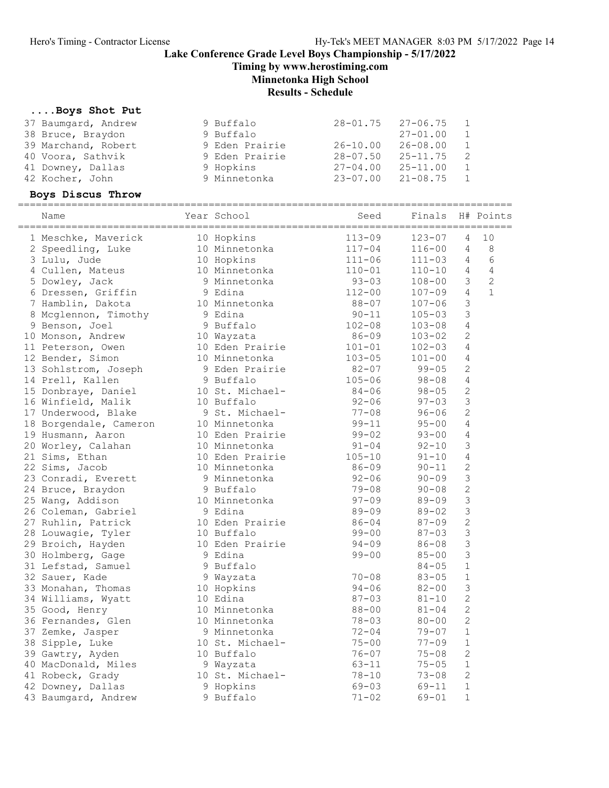Timing by www.herostiming.com

# Minnetonka High School

### Results - Schedule

### ....Boys Shot Put

| 37 Baumgard, Andrew<br>38 Bruce, Braydon<br>39 Marchand, Robert<br>40 Voora, Sathvik<br>41 Downey, Dallas | 9 Buffalo<br>9 Buffalo<br>9 Eden Prairie<br>9 Eden Prairie<br>9 Hopkins | $28 - 01.75$<br>26-10.00<br>$28 - 07.50$ $25 - 11.75$<br>$27 - 04.00$ $25 - 11.00$ | $27 - 06.75$<br>$27 - 01.00$<br>$26 - 08.00$ | $\mathbf{1}$<br>2<br>$\mathbf{1}$ |              |
|-----------------------------------------------------------------------------------------------------------|-------------------------------------------------------------------------|------------------------------------------------------------------------------------|----------------------------------------------|-----------------------------------|--------------|
| 42 Kocher, John                                                                                           | 9 Minnetonka                                                            | $23 - 07.00$ $21 - 08.75$                                                          |                                              | $\mathbf{1}$                      |              |
| Boys Discus Throw                                                                                         |                                                                         |                                                                                    |                                              |                                   |              |
| Name                                                                                                      | Year School                                                             | Seed                                                                               | Finals                                       |                                   | H# Points    |
| 1 Meschke, Maverick                                                                                       | 10 Hopkins                                                              | $113 - 09$                                                                         | 123-07                                       | 4                                 | 10           |
| 2 Speedling, Luke                                                                                         | 10 Minnetonka                                                           | $117 - 04$                                                                         | $116 - 00$                                   | $\overline{4}$                    | - 8          |
|                                                                                                           |                                                                         |                                                                                    |                                              |                                   |              |
| 3 Lulu, Jude                                                                                              | 10 Hopkins                                                              | $111 - 06$                                                                         | $111 - 03$                                   | $\overline{4}$                    | 6            |
| 4 Cullen, Mateus                                                                                          | 10 Minnetonka                                                           | $110 - 01$                                                                         | $110 - 10$                                   | $\overline{4}$                    | 4            |
| 5 Dowley, Jack                                                                                            | 9 Minnetonka                                                            | $93 - 03$                                                                          | $108 - 00$                                   | 3                                 | 2            |
| 6 Dressen, Griffin                                                                                        | 9 Edina                                                                 | $112 - 00$                                                                         | $107 - 09$                                   | $\overline{4}$                    | $\mathbf{1}$ |
| 7 Hamblin, Dakota                                                                                         | 10 Minnetonka                                                           | 88-07                                                                              | $107 - 06$                                   | 3                                 |              |
| 8 Mcglennon, Timothy                                                                                      | 9 Edina                                                                 | $90 - 11$                                                                          | $105 - 03$                                   | 3                                 |              |

| 1 Meschke, Maverick    | 10 Hopkins      | $113 - 09$ | $123 - 07$ | 4              | 10             |
|------------------------|-----------------|------------|------------|----------------|----------------|
| 2 Speedling, Luke      | 10 Minnetonka   | $117 - 04$ | $116 - 00$ | 4              | 8              |
| 3 Lulu, Jude           | 10 Hopkins      | $111 - 06$ | $111 - 03$ | 4              | 6              |
| 4 Cullen, Mateus       | 10 Minnetonka   | $110 - 01$ | $110 - 10$ | $\overline{4}$ | $\overline{4}$ |
| 5 Dowley, Jack         | 9 Minnetonka    | $93 - 03$  | $108 - 00$ | $\mathfrak{Z}$ | $\overline{2}$ |
| 6 Dressen, Griffin     | 9 Edina         | $112 - 00$ | $107 - 09$ | $\overline{4}$ | $\mathbf{1}$   |
| 7 Hamblin, Dakota      | 10 Minnetonka   | $88 - 07$  | $107 - 06$ | 3              |                |
| 8 Mcglennon, Timothy   | 9 Edina         | $90 - 11$  | $105 - 03$ | $\mathfrak{Z}$ |                |
| 9 Benson, Joel         | 9 Buffalo       | $102 - 08$ | $103 - 08$ | $\overline{4}$ |                |
| 10 Monson, Andrew      | 10 Wayzata      | $86 - 09$  | $103 - 02$ | $\mathbf{2}$   |                |
| 11 Peterson, Owen      | 10 Eden Prairie | $101 - 01$ | $102 - 03$ | $\overline{4}$ |                |
| 12 Bender, Simon       | 10 Minnetonka   | $103 - 05$ | $101 - 00$ | $\overline{4}$ |                |
| 13 Sohlstrom, Joseph   | 9 Eden Prairie  | $82 - 07$  | $99 - 05$  | $\mathbf{2}$   |                |
| 14 Prell, Kallen       | 9 Buffalo       | $105 - 06$ | $98 - 08$  | $\overline{4}$ |                |
| 15 Donbraye, Daniel    | 10 St. Michael- | $84 - 06$  | $98 - 05$  | $\mathbf{2}$   |                |
| 16 Winfield, Malik     | 10 Buffalo      | $92 - 06$  | $97 - 03$  | $\mathfrak{Z}$ |                |
| 17 Underwood, Blake    | 9 St. Michael-  | $77 - 08$  | $96 - 06$  | $\mathbf{2}$   |                |
| 18 Borgendale, Cameron | 10 Minnetonka   | $99 - 11$  | $95 - 00$  | $\overline{4}$ |                |
| 19 Husmann, Aaron      | 10 Eden Prairie | $99 - 02$  | $93 - 00$  | $\overline{4}$ |                |
| 20 Worley, Calahan     | 10 Minnetonka   | $91 - 04$  | $92 - 10$  | $\mathsf 3$    |                |
| 21 Sims, Ethan         | 10 Eden Prairie | $105 - 10$ | $91 - 10$  | $\overline{4}$ |                |
| 22 Sims, Jacob         | 10 Minnetonka   | 86-09      | $90 - 11$  | $\mathbf{2}$   |                |
| 23 Conradi, Everett    | 9 Minnetonka    | $92 - 06$  | $90 - 09$  | $\mathfrak{Z}$ |                |
| 24 Bruce, Braydon      | 9 Buffalo       | $79 - 08$  | $90 - 08$  | $\mathbf{2}$   |                |
| 25 Wang, Addison       | 10 Minnetonka   | $97 - 09$  | $89 - 09$  | $\mathsf 3$    |                |
| 26 Coleman, Gabriel    | 9 Edina         | $89 - 09$  | $89 - 02$  | $\mathsf 3$    |                |
| 27 Ruhlin, Patrick     | 10 Eden Prairie | $86 - 04$  | $87 - 09$  | $\overline{c}$ |                |
| 28 Louwagie, Tyler     | 10 Buffalo      | $99 - 00$  | $87 - 03$  | $\mathfrak{Z}$ |                |
| 29 Broich, Hayden      | 10 Eden Prairie | $94 - 09$  | 86-08      | $\mathsf 3$    |                |
| 30 Holmberg, Gage      | 9 Edina         | $99 - 00$  | $85 - 00$  | $\mathfrak{Z}$ |                |
| 31 Lefstad, Samuel     | 9 Buffalo       |            | $84 - 05$  | $\mathbf 1$    |                |
| 32 Sauer, Kade         | 9 Wayzata       | $70 - 08$  | $83 - 05$  | $\mathbf 1$    |                |
| 33 Monahan, Thomas     | 10 Hopkins      | $94 - 06$  | $82 - 00$  | $\mathsf 3$    |                |
| 34 Williams, Wyatt     | 10 Edina        | $87 - 03$  | $81 - 10$  | $\mathbf{2}$   |                |
| 35 Good, Henry         | 10 Minnetonka   | $88 - 00$  | $81 - 04$  | $\mathbf{2}$   |                |
| 36 Fernandes, Glen     | 10 Minnetonka   | $78 - 03$  | $80 - 00$  | $\overline{2}$ |                |
| 37 Zemke, Jasper       | 9 Minnetonka    | $72 - 04$  | $79 - 07$  | $1\,$          |                |
| 38 Sipple, Luke        | 10 St. Michael- | $75 - 00$  | $77 - 09$  | $\mathbf 1$    |                |
| 39 Gawtry, Ayden       | 10 Buffalo      | $76 - 07$  | $75 - 08$  | $\mathbf{2}$   |                |
| 40 MacDonald, Miles    | 9 Wayzata       | $63 - 11$  | $75 - 05$  | $\mathbf{1}$   |                |
| 41 Robeck, Grady       | 10 St. Michael- | $78 - 10$  | $73 - 08$  | $\overline{2}$ |                |
| 42 Downey, Dallas      | 9 Hopkins       | $69 - 03$  | $69 - 11$  | $1\,$          |                |
| 43 Baumgard, Andrew    | 9 Buffalo       | $71 - 02$  | $69 - 01$  | $\mathbf 1$    |                |